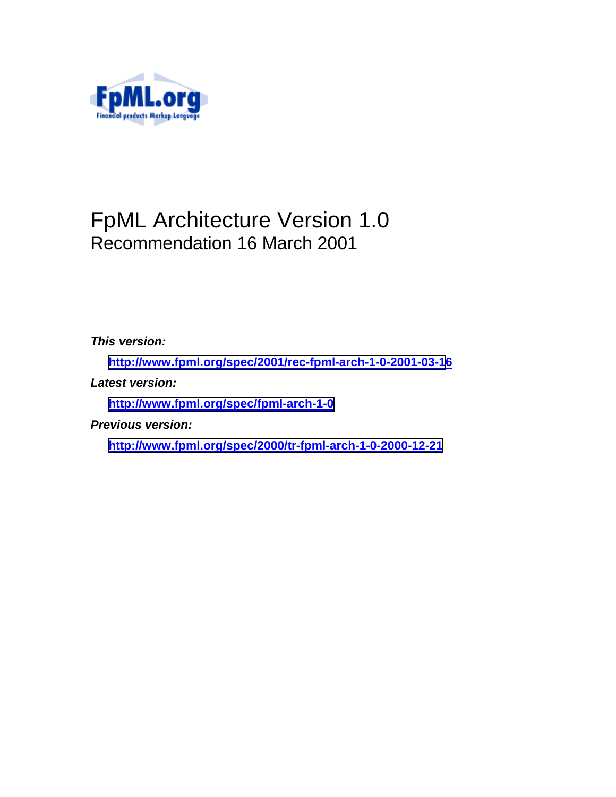

# FpML Architecture Version 1.0 Recommendation 16 March 2001

*This version:* 

**[http://www.fpml.org/spec/2001/rec-fpml-arch-1-0-2001-03-1](http://www.fpml.org/spec/2001/rec-fpml-arch-1-0-2001-03-16)6**

*Latest version:* 

**<http://www.fpml.org/spec/fpml-arch-1-0>**

*Previous version:* 

**<http://www.fpml.org/spec/2000/tr-fpml-arch-1-0-2000-12-21>**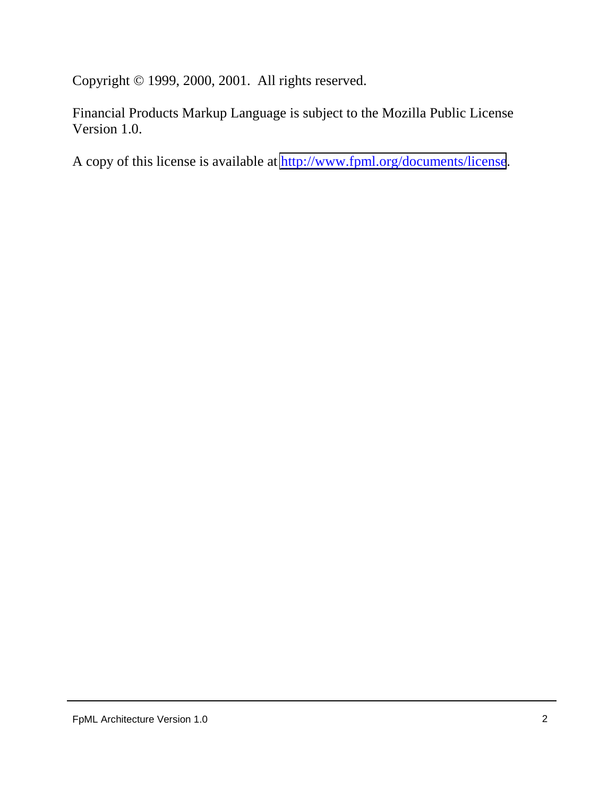Copyright © 1999, 2000, 2001. All rights reserved.

Financial Products Markup Language is subject to the Mozilla Public License Version 1.0.

A copy of this license is available at<http://www.fpml.org/documents/license>.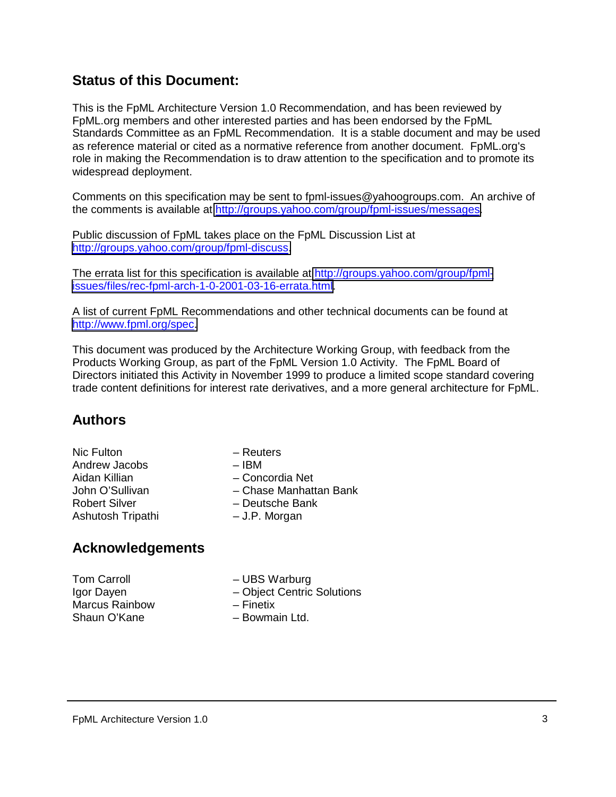# **Status of this Document:**

This is the FpML Architecture Version 1.0 Recommendation, and has been reviewed by FpML.org members and other interested parties and has been endorsed by the FpML Standards Committee as an FpML Recommendation. It is a stable document and may be used as reference material or cited as a normative reference from another document. FpML.org's role in making the Recommendation is to draw attention to the specification and to promote its widespread deployment.

Comments on this specification may be sent to fpml-issues@yahoogroups.com. An archive of the comments is available at [http://groups.yahoo.com/group/fpml-issues/messages.](http://groups.yahoo.com/group/fpml-issues/messages)

Public discussion of FpML takes place on the FpML Discussion List at [http://groups.yahoo.com/group/fpml-discuss.](http://groups.yahoo.com/group/fpml-discuss)

The errata list for this specification is available at [http://groups.yahoo.com/group/fpml](http://groups.yahoo.com/group/fpml-issues/files/rec-fpml-arch-1-0-2001-03-16-errata.html)[issues/files/rec-fpml-arch-1-0-2001-03-16-errata.html.](http://groups.yahoo.com/group/fpml-issues/files/rec-fpml-arch-1-0-2001-03-16-errata.html)

A list of current FpML Recommendations and other technical documents can be found at [http://www.fpml.org/spec.](http://www.fpml.org/spec)

This document was produced by the Architecture Working Group, with feedback from the Products Working Group, as part of the FpML Version 1.0 Activity. The FpML Board of Directors initiated this Activity in November 1999 to produce a limited scope standard covering trade content definitions for interest rate derivatives, and a more general architecture for FpML.

# **Authors**

- Nic Fulton **Reuters** Andrew Jacobs – IBM Robert Silver – Deutsche Bank Ashutosh Tripathi – J.P. Morgan
- -
	- Concordia Net
- John O'Sullivan Chase Manhattan Bank
	-
	-

# **Acknowledgements**

Tom Carroll **Figure 1** – UBS Warburg Marcus Rainbow – Finetix Shaun O'Kane – Bowmain Ltd.

- 
- Igor Dayen **Figure 1** Object Centric Solutions
	-
	-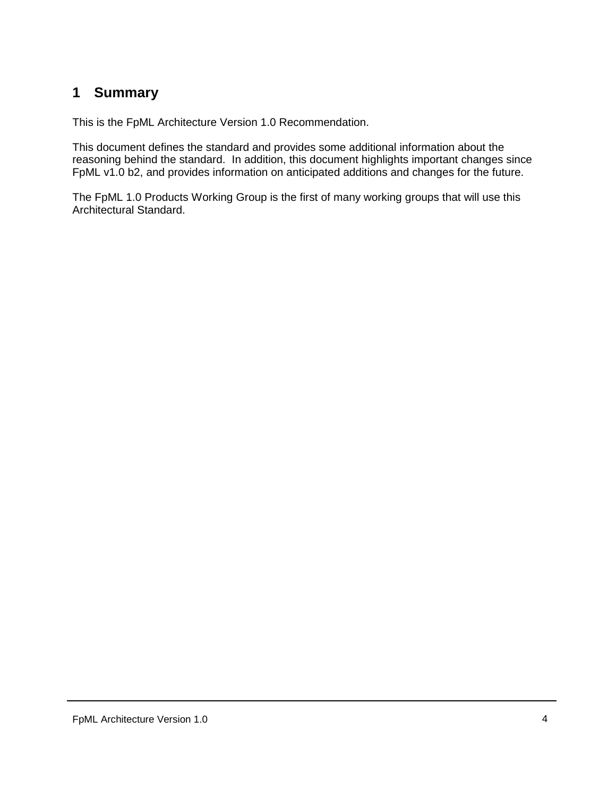# <span id="page-3-0"></span>**1 Summary**

This is the FpML Architecture Version 1.0 Recommendation.

This document defines the standard and provides some additional information about the reasoning behind the standard. In addition, this document highlights important changes since FpML v1.0 b2, and provides information on anticipated additions and changes for the future.

The FpML 1.0 Products Working Group is the first of many working groups that will use this Architectural Standard.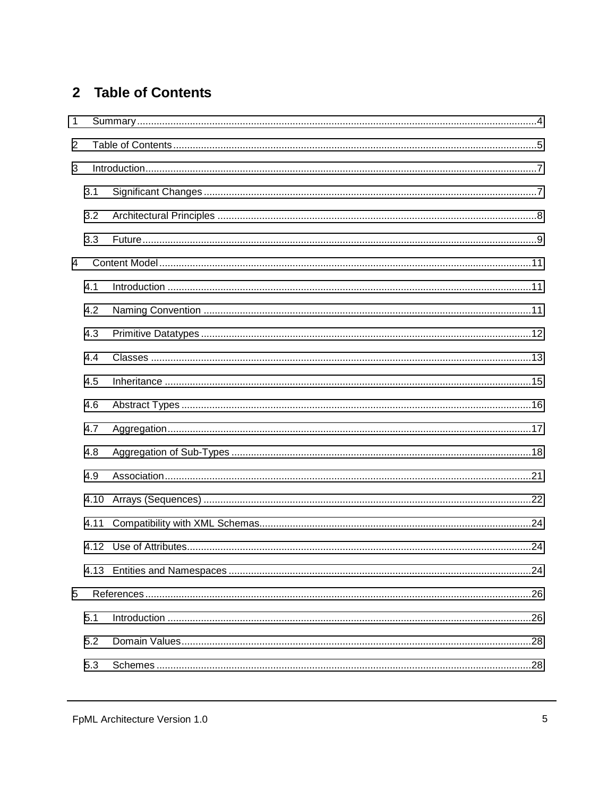# 2 Table of Contents

| $\mathbf{1}$   |      |  |  |  |  |
|----------------|------|--|--|--|--|
| $\overline{2}$ |      |  |  |  |  |
| 3              |      |  |  |  |  |
|                | 3.1  |  |  |  |  |
|                | 3.2  |  |  |  |  |
|                | 3.3  |  |  |  |  |
| $\overline{4}$ |      |  |  |  |  |
|                | 4.1  |  |  |  |  |
|                | 4.2  |  |  |  |  |
|                | 4.3  |  |  |  |  |
|                | 4.4  |  |  |  |  |
|                | 4.5  |  |  |  |  |
|                | 4.6  |  |  |  |  |
|                | 4.7  |  |  |  |  |
|                | 4.8  |  |  |  |  |
|                | 4.9  |  |  |  |  |
|                | 4.10 |  |  |  |  |
|                | 4.11 |  |  |  |  |
|                |      |  |  |  |  |
|                |      |  |  |  |  |
| 5              |      |  |  |  |  |
|                | 5.1  |  |  |  |  |
|                | 5.2  |  |  |  |  |
|                | 5.3  |  |  |  |  |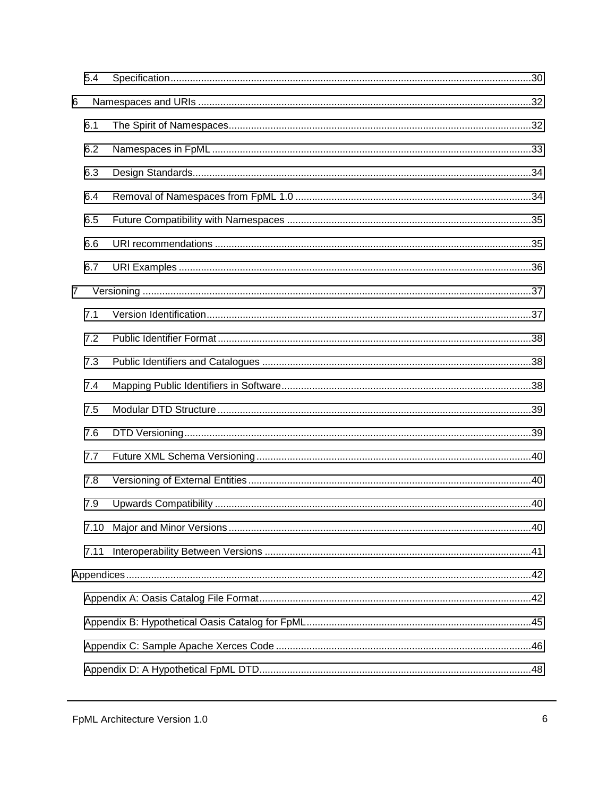|                | 5.4  |  |  |  |
|----------------|------|--|--|--|
| 6              |      |  |  |  |
|                | 6.1  |  |  |  |
|                | 6.2  |  |  |  |
|                | 6.3  |  |  |  |
|                | 6.4  |  |  |  |
|                | 6.5  |  |  |  |
|                | 6.6  |  |  |  |
|                | 6.7  |  |  |  |
| $\overline{7}$ |      |  |  |  |
|                | 7.1  |  |  |  |
|                | 7.2  |  |  |  |
|                | 7.3  |  |  |  |
|                | 7.4  |  |  |  |
|                | 7.5  |  |  |  |
|                | 7.6  |  |  |  |
|                | 7.7  |  |  |  |
|                | 7.8  |  |  |  |
|                | 7.9  |  |  |  |
|                | 7.10 |  |  |  |
|                | 7.11 |  |  |  |
|                |      |  |  |  |
|                |      |  |  |  |
|                |      |  |  |  |
|                |      |  |  |  |
|                |      |  |  |  |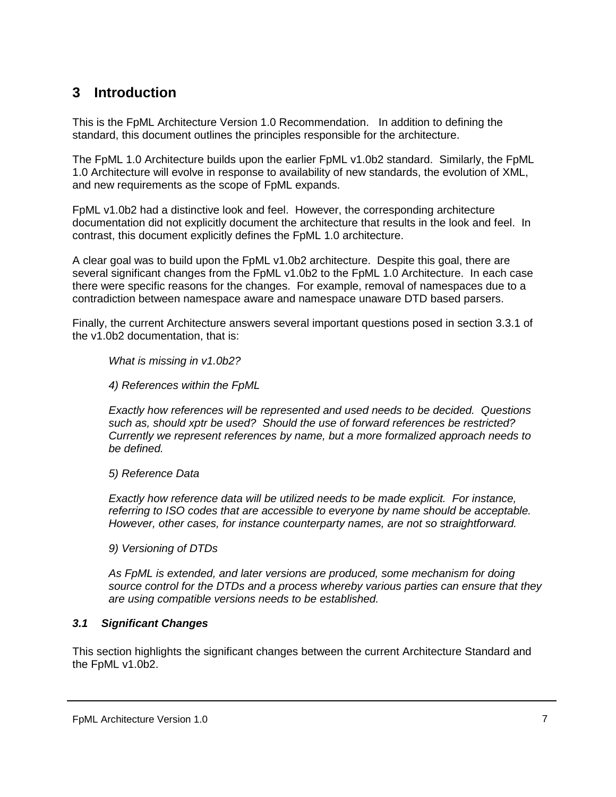# <span id="page-6-0"></span>**3 Introduction**

This is the FpML Architecture Version 1.0 Recommendation. In addition to defining the standard, this document outlines the principles responsible for the architecture.

The FpML 1.0 Architecture builds upon the earlier FpML v1.0b2 standard. Similarly, the FpML 1.0 Architecture will evolve in response to availability of new standards, the evolution of XML, and new requirements as the scope of FpML expands.

FpML v1.0b2 had a distinctive look and feel. However, the corresponding architecture documentation did not explicitly document the architecture that results in the look and feel. In contrast, this document explicitly defines the FpML 1.0 architecture.

A clear goal was to build upon the FpML v1.0b2 architecture. Despite this goal, there are several significant changes from the FpML v1.0b2 to the FpML 1.0 Architecture. In each case there were specific reasons for the changes. For example, removal of namespaces due to a contradiction between namespace aware and namespace unaware DTD based parsers.

Finally, the current Architecture answers several important questions posed in section 3.3.1 of the v1.0b2 documentation, that is:

*What is missing in v1.0b2?* 

*4) References within the FpML* 

*Exactly how references will be represented and used needs to be decided. Questions such as, should xptr be used? Should the use of forward references be restricted? Currently we represent references by name, but a more formalized approach needs to be defined.* 

*5) Reference Data* 

*Exactly how reference data will be utilized needs to be made explicit. For instance, referring to ISO codes that are accessible to everyone by name should be acceptable. However, other cases, for instance counterparty names, are not so straightforward.* 

*9) Versioning of DTDs* 

*As FpML is extended, and later versions are produced, some mechanism for doing source control for the DTDs and a process whereby various parties can ensure that they are using compatible versions needs to be established.* 

### *3.1 Significant Changes*

This section highlights the significant changes between the current Architecture Standard and the FpML v1.0b2.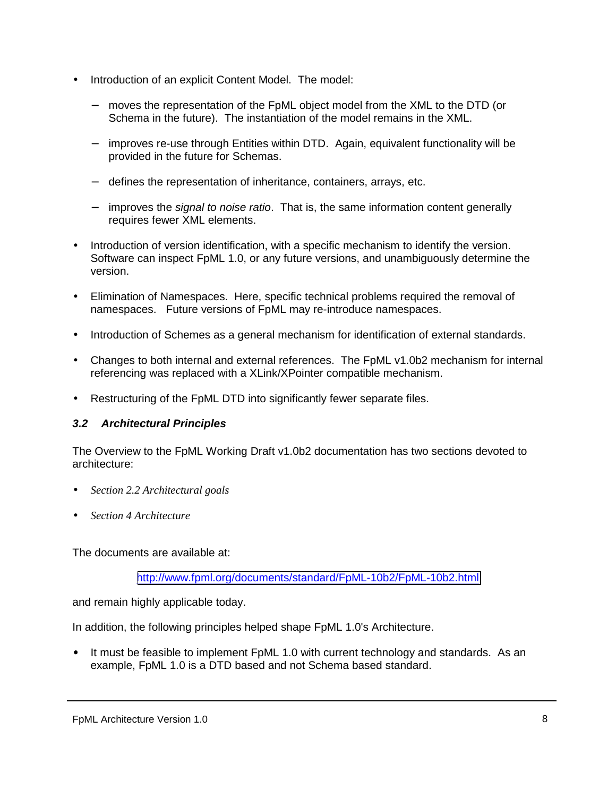- <span id="page-7-0"></span>• Introduction of an explicit Content Model. The model:
	- moves the representation of the FpML object model from the XML to the DTD (or Schema in the future). The instantiation of the model remains in the XML.
	- − improves re-use through Entities within DTD. Again, equivalent functionality will be provided in the future for Schemas.
	- − defines the representation of inheritance, containers, arrays, etc.
	- − improves the *signal to noise ratio*. That is, the same information content generally requires fewer XML elements.
- Introduction of version identification, with a specific mechanism to identify the version. Software can inspect FpML 1.0, or any future versions, and unambiguously determine the version.
- Elimination of Namespaces. Here, specific technical problems required the removal of namespaces. Future versions of FpML may re-introduce namespaces.
- Introduction of Schemes as a general mechanism for identification of external standards.
- Changes to both internal and external references. The FpML v1.0b2 mechanism for internal referencing was replaced with a XLink/XPointer compatible mechanism.
- Restructuring of the FpML DTD into significantly fewer separate files.

### *3.2 Architectural Principles*

The Overview to the FpML Working Draft v1.0b2 documentation has two sections devoted to architecture:

- *Section 2.2 Architectural goals*
- *Section 4 Architecture*

The documents are available at:

<http://www.fpml.org/documents/standard/FpML-10b2/FpML-10b2.html>

and remain highly applicable today.

In addition, the following principles helped shape FpML 1.0's Architecture.

• It must be feasible to implement FpML 1.0 with current technology and standards. As an example, FpML 1.0 is a DTD based and not Schema based standard.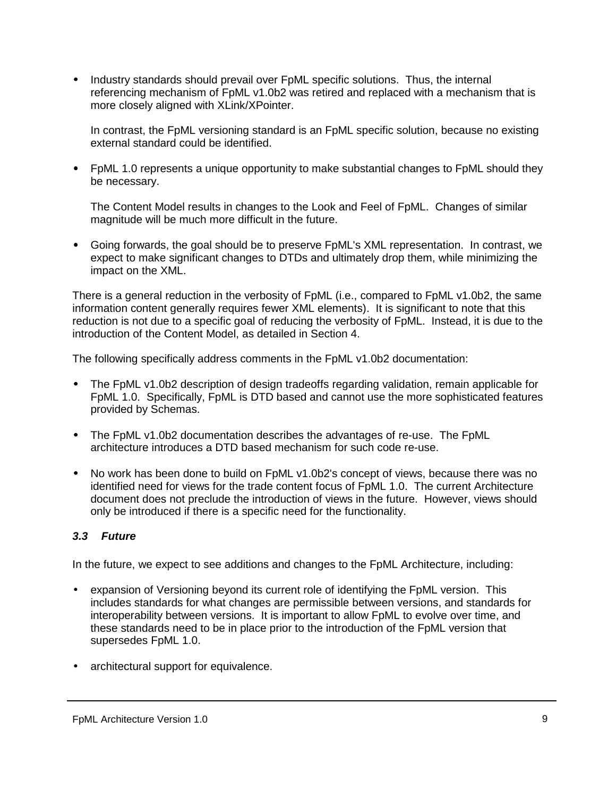<span id="page-8-0"></span>• Industry standards should prevail over FpML specific solutions. Thus, the internal referencing mechanism of FpML v1.0b2 was retired and replaced with a mechanism that is more closely aligned with XLink/XPointer.

In contrast, the FpML versioning standard is an FpML specific solution, because no existing external standard could be identified.

• FpML 1.0 represents a unique opportunity to make substantial changes to FpML should they be necessary.

The Content Model results in changes to the Look and Feel of FpML. Changes of similar magnitude will be much more difficult in the future.

• Going forwards, the goal should be to preserve FpML's XML representation. In contrast, we expect to make significant changes to DTDs and ultimately drop them, while minimizing the impact on the XML.

There is a general reduction in the verbosity of FpML (i.e., compared to FpML v1.0b2, the same information content generally requires fewer XML elements). It is significant to note that this reduction is not due to a specific goal of reducing the verbosity of FpML. Instead, it is due to the introduction of the Content Model, as detailed in Section 4.

The following specifically address comments in the FpML v1.0b2 documentation:

- The FpML v1.0b2 description of design tradeoffs regarding validation, remain applicable for FpML 1.0. Specifically, FpML is DTD based and cannot use the more sophisticated features provided by Schemas.
- The FpML v1.0b2 documentation describes the advantages of re-use. The FpML architecture introduces a DTD based mechanism for such code re-use.
- No work has been done to build on FpML v1.0b2's concept of views, because there was no identified need for views for the trade content focus of FpML 1.0. The current Architecture document does not preclude the introduction of views in the future. However, views should only be introduced if there is a specific need for the functionality.

### *3.3 Future*

In the future, we expect to see additions and changes to the FpML Architecture, including:

- expansion of Versioning beyond its current role of identifying the FpML version. This includes standards for what changes are permissible between versions, and standards for interoperability between versions. It is important to allow FpML to evolve over time, and these standards need to be in place prior to the introduction of the FpML version that supersedes FpML 1.0.
- architectural support for equivalence.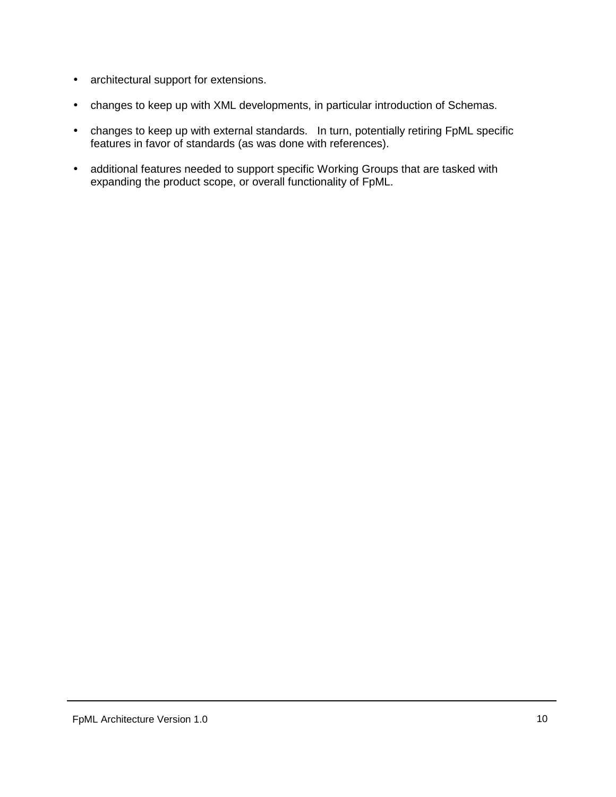- architectural support for extensions.
- changes to keep up with XML developments, in particular introduction of Schemas.
- changes to keep up with external standards. In turn, potentially retiring FpML specific features in favor of standards (as was done with references).
- additional features needed to support specific Working Groups that are tasked with expanding the product scope, or overall functionality of FpML.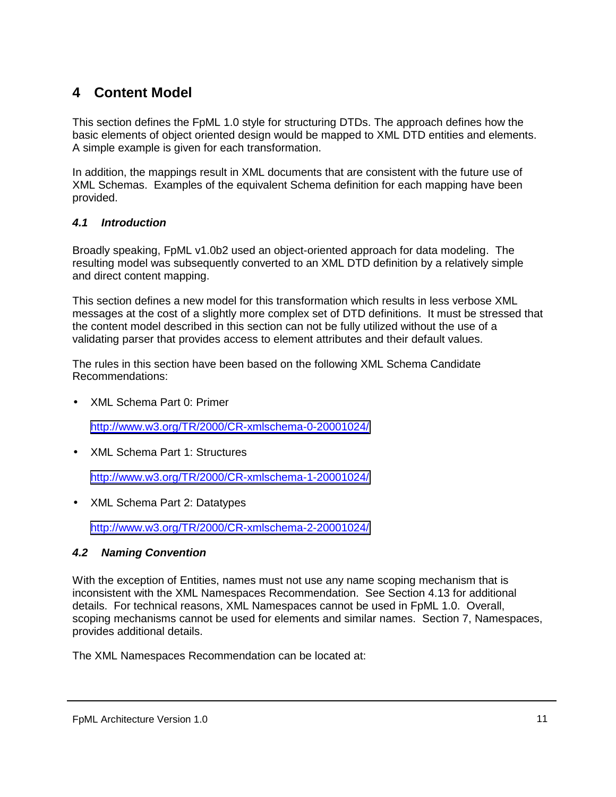# <span id="page-10-0"></span>**4 Content Model**

This section defines the FpML 1.0 style for structuring DTDs. The approach defines how the basic elements of object oriented design would be mapped to XML DTD entities and elements. A simple example is given for each transformation.

In addition, the mappings result in XML documents that are consistent with the future use of XML Schemas. Examples of the equivalent Schema definition for each mapping have been provided.

### *4.1 Introduction*

Broadly speaking, FpML v1.0b2 used an object-oriented approach for data modeling. The resulting model was subsequently converted to an XML DTD definition by a relatively simple and direct content mapping.

This section defines a new model for this transformation which results in less verbose XML messages at the cost of a slightly more complex set of DTD definitions. It must be stressed that the content model described in this section can not be fully utilized without the use of a validating parser that provides access to element attributes and their default values.

The rules in this section have been based on the following XML Schema Candidate Recommendations:

• XML Schema Part 0: Primer

<http://www.w3.org/TR/2000/CR-xmlschema-0-20001024/>

• XML Schema Part 1: Structures

<http://www.w3.org/TR/2000/CR-xmlschema-1-20001024/>

• XML Schema Part 2: Datatypes

<http://www.w3.org/TR/2000/CR-xmlschema-2-20001024/>

#### *4.2 Naming Convention*

With the exception of Entities, names must not use any name scoping mechanism that is inconsistent with the XML Namespaces Recommendation. See Section 4.13 for additional details. For technical reasons, XML Namespaces cannot be used in FpML 1.0. Overall, scoping mechanisms cannot be used for elements and similar names. Section 7, Namespaces, provides additional details.

The XML Namespaces Recommendation can be located at:

FpML Architecture Version 1.0 11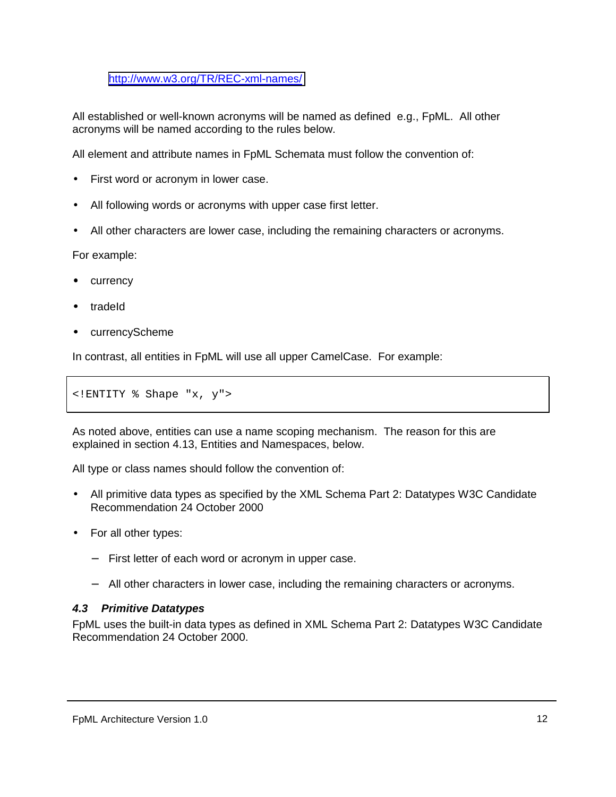<span id="page-11-0"></span><http://www.w3.org/TR/REC-xml-names/>

All established or well-known acronyms will be named as defined e.g., FpML. All other acronyms will be named according to the rules below.

All element and attribute names in FpML Schemata must follow the convention of:

- First word or acronym in lower case.
- All following words or acronyms with upper case first letter.
- All other characters are lower case, including the remaining characters or acronyms.

For example:

- currency
- tradeId
- currencyScheme

In contrast, all entities in FpML will use all upper CamelCase. For example:

<!ENTITY % Shape "x, y">

As noted above, entities can use a name scoping mechanism. The reason for this are explained in section 4.13, Entities and Namespaces, below.

All type or class names should follow the convention of:

- All primitive data types as specified by the XML Schema Part 2: Datatypes W3C Candidate Recommendation 24 October 2000
- For all other types:
	- − First letter of each word or acronym in upper case.
	- − All other characters in lower case, including the remaining characters or acronyms.

### *4.3 Primitive Datatypes*

FpML uses the built-in data types as defined in XML Schema Part 2: Datatypes W3C Candidate Recommendation 24 October 2000.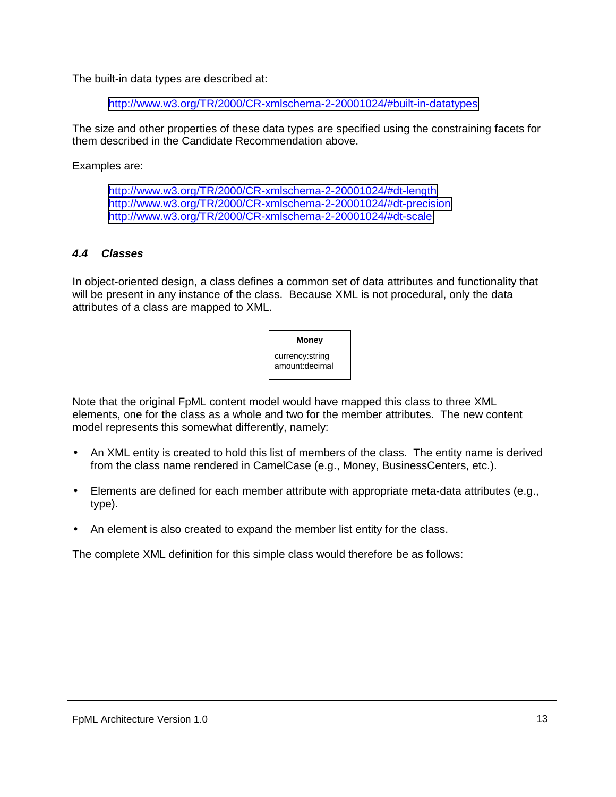<span id="page-12-0"></span>The built-in data types are described at:

<http://www.w3.org/TR/2000/CR-xmlschema-2-20001024/#built-in-datatypes>

The size and other properties of these data types are specified using the constraining facets for them described in the Candidate Recommendation above.

Examples are:

<http://www.w3.org/TR/2000/CR-xmlschema-2-20001024/#dt-length> <http://www.w3.org/TR/2000/CR-xmlschema-2-20001024/#dt-precision> <http://www.w3.org/TR/2000/CR-xmlschema-2-20001024/#dt-scale>

#### *4.4 Classes*

In object-oriented design, a class defines a common set of data attributes and functionality that will be present in any instance of the class. Because XML is not procedural, only the data attributes of a class are mapped to XML.

| Money                             |  |
|-----------------------------------|--|
| currency:string<br>amount:decimal |  |

Note that the original FpML content model would have mapped this class to three XML elements, one for the class as a whole and two for the member attributes. The new content model represents this somewhat differently, namely:

- An XML entity is created to hold this list of members of the class. The entity name is derived from the class name rendered in CamelCase (e.g., Money, BusinessCenters, etc.).
- Elements are defined for each member attribute with appropriate meta-data attributes (e.g., type).
- An element is also created to expand the member list entity for the class.

The complete XML definition for this simple class would therefore be as follows: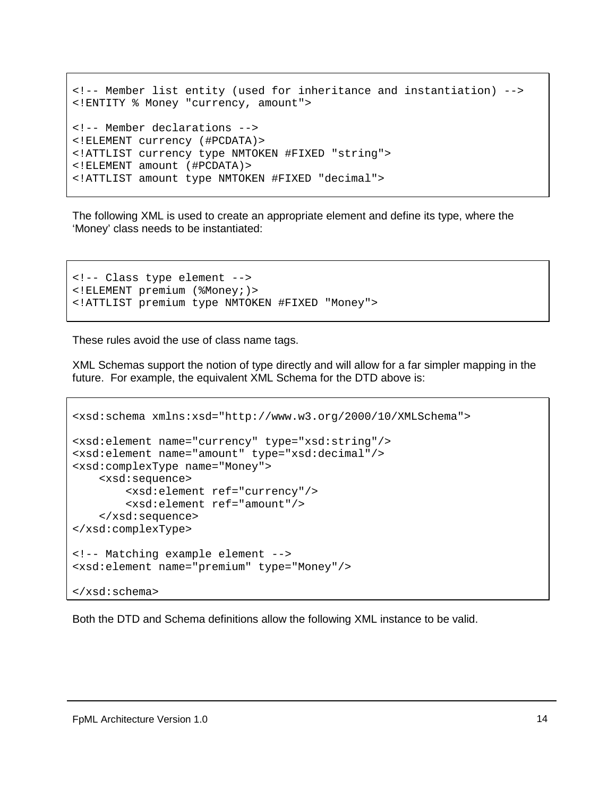```
<!-- Member list entity (used for inheritance and instantiation) -->
<!ENTITY % Money "currency, amount">
<!-- Member declarations -->
<!ELEMENT currency (#PCDATA)>
<!ATTLIST currency type NMTOKEN #FIXED "string">
<!ELEMENT amount (#PCDATA)>
<!ATTLIST amount type NMTOKEN #FIXED "decimal">
```
The following XML is used to create an appropriate element and define its type, where the 'Money' class needs to be instantiated:

```
<!-- Class type element -->
<!ELEMENT premium (%Money;)>
<!ATTLIST premium type NMTOKEN #FIXED "Money">
```
These rules avoid the use of class name tags.

XML Schemas support the notion of type directly and will allow for a far simpler mapping in the future. For example, the equivalent XML Schema for the DTD above is:

```
<xsd:schema xmlns:xsd="http://www.w3.org/2000/10/XMLSchema">
<xsd:element name="currency" type="xsd:string"/>
<xsd:element name="amount" type="xsd:decimal"/>
<xsd:complexType name="Money">
    <xsd:sequence>
        <xsd:element ref="currency"/>
        <xsd:element ref="amount"/>
    </xsd:sequence>
</xsd:complexType>
<!-- Matching example element -->
<xsd:element name="premium" type="Money"/>
</xsd:schema>
```
Both the DTD and Schema definitions allow the following XML instance to be valid.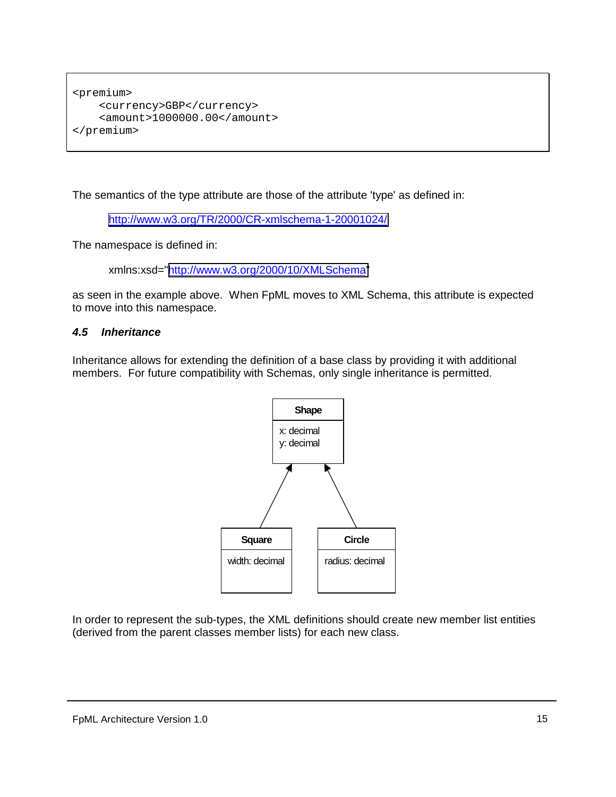```
<premium>
    <currency>GBP</currency>
    <amount>1000000.00</amount>
</premium>
```
The semantics of the type attribute are those of the attribute 'type' as defined in:

<http://www.w3.org/TR/2000/CR-xmlschema-1-20001024/>

The namespace is defined in:

xmlns:xsd="[http://www.w3.org/2000/10/XMLSchema"](http://www.w3.org/2000/10/XMLSchema)

as seen in the example above. When FpML moves to XML Schema, this attribute is expected to move into this namespace.

#### *4.5 Inheritance*

Inheritance allows for extending the definition of a base class by providing it with additional members. For future compatibility with Schemas, only single inheritance is permitted.



In order to represent the sub-types, the XML definitions should create new member list entities (derived from the parent classes member lists) for each new class.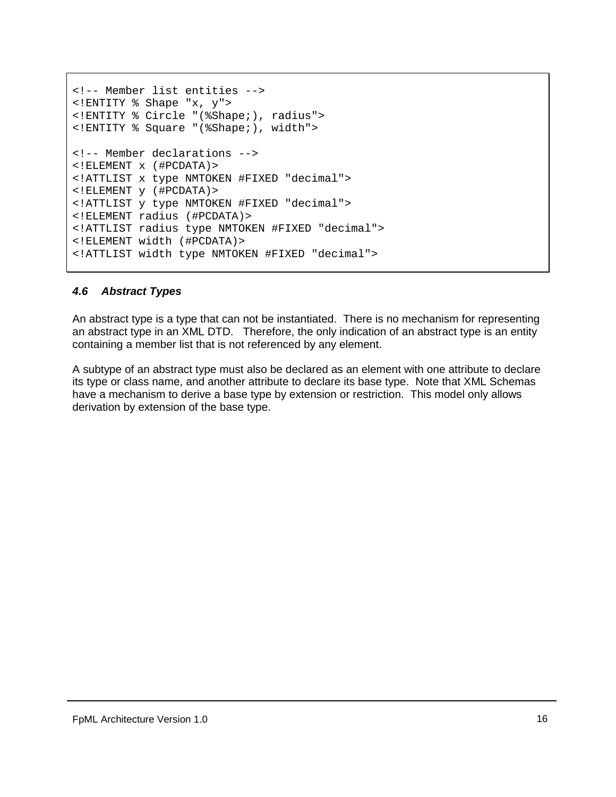```
<!-- Member list entities -->
<!ENTITY % Shape "x, y">
<!ENTITY % Circle "(%Shape;), radius">
<!ENTITY % Square "(%Shape;), width">
<!-- Member declarations -->
<!ELEMENT x (#PCDATA)>
<!ATTLIST x type NMTOKEN #FIXED "decimal">
<!ELEMENT y (#PCDATA)>
<!ATTLIST y type NMTOKEN #FIXED "decimal">
<!ELEMENT radius (#PCDATA)>
<!ATTLIST radius type NMTOKEN #FIXED "decimal">
<!ELEMENT width (#PCDATA)>
<!ATTLIST width type NMTOKEN #FIXED "decimal">
```
#### *4.6 Abstract Types*

An abstract type is a type that can not be instantiated. There is no mechanism for representing an abstract type in an XML DTD. Therefore, the only indication of an abstract type is an entity containing a member list that is not referenced by any element.

A subtype of an abstract type must also be declared as an element with one attribute to declare its type or class name, and another attribute to declare its base type. Note that XML Schemas have a mechanism to derive a base type by extension or restriction. This model only allows derivation by extension of the base type.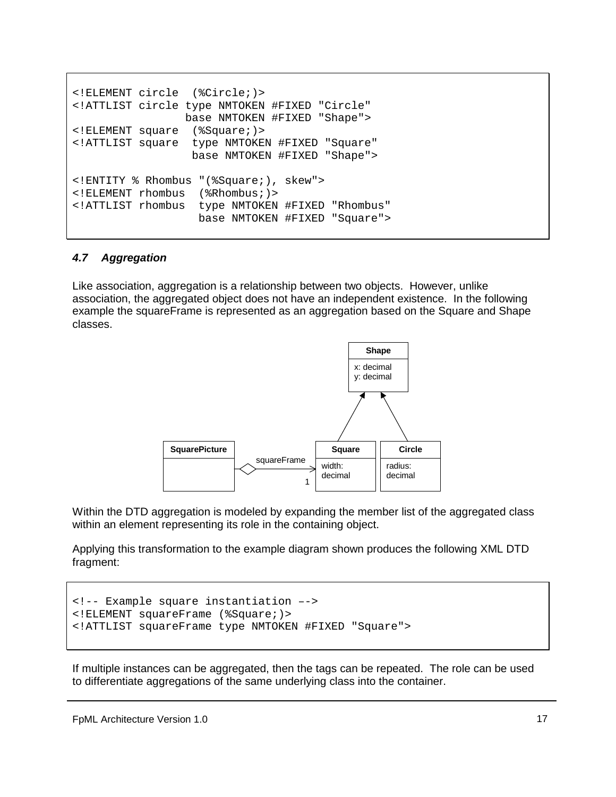```
<!ELEMENT circle (%Circle;)>
<!ATTLIST circle type NMTOKEN #FIXED "Circle"
                base NMTOKEN #FIXED "Shape">
<!ELEMENT square (%Square;)>
<!ATTLIST square type NMTOKEN #FIXED "Square"
                 base NMTOKEN #FIXED "Shape">
<!ENTITY % Rhombus "(%Square;), skew">
<!ELEMENT rhombus (%Rhombus;)>
<!ATTLIST rhombus type NMTOKEN #FIXED "Rhombus"
                  base NMTOKEN #FIXED "Square">
```
#### *4.7 Aggregation*

Like association, aggregation is a relationship between two objects. However, unlike association, the aggregated object does not have an independent existence. In the following example the squareFrame is represented as an aggregation based on the Square and Shape classes.



Within the DTD aggregation is modeled by expanding the member list of the aggregated class within an element representing its role in the containing object.

Applying this transformation to the example diagram shown produces the following XML DTD fragment:

```
<!-- Example square instantiation –->
<!ELEMENT squareFrame (%Square;)>
<!ATTLIST squareFrame type NMTOKEN #FIXED "Square">
```
If multiple instances can be aggregated, then the tags can be repeated. The role can be used to differentiate aggregations of the same underlying class into the container.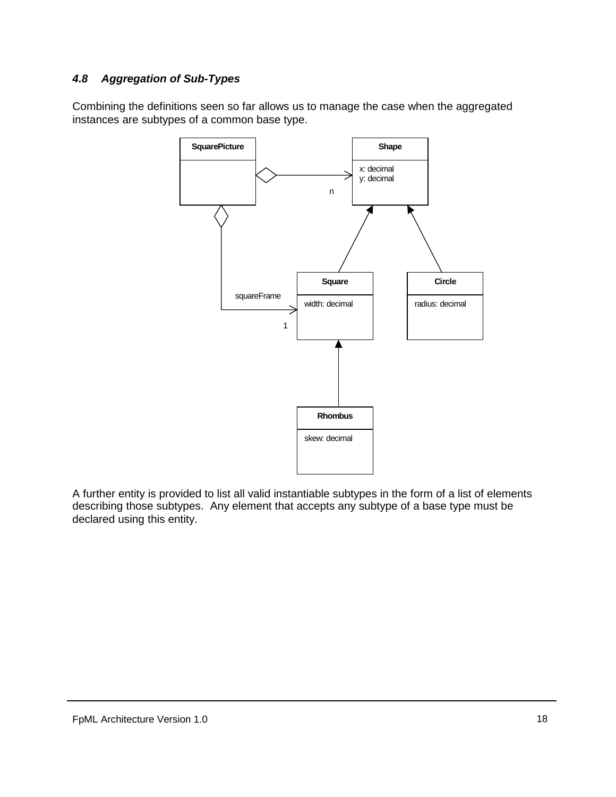### <span id="page-17-0"></span>*4.8 Aggregation of Sub-Types*

Combining the definitions seen so far allows us to manage the case when the aggregated instances are subtypes of a common base type.



A further entity is provided to list all valid instantiable subtypes in the form of a list of elements describing those subtypes. Any element that accepts any subtype of a base type must be declared using this entity.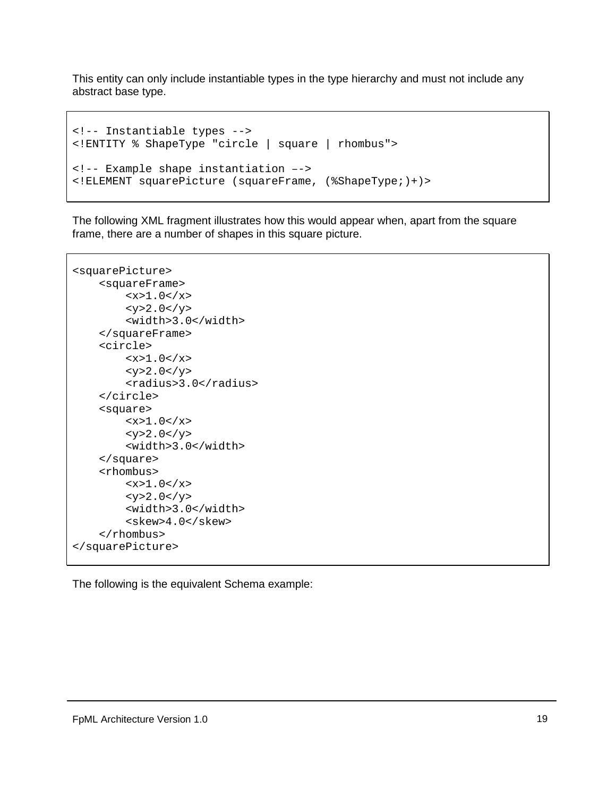This entity can only include instantiable types in the type hierarchy and must not include any abstract base type.

```
<!-- Instantiable types -->
<!ENTITY % ShapeType "circle | square | rhombus">
<!-- Example shape instantiation –->
<!ELEMENT squarePicture (squareFrame, (%ShapeType;)+)>
```
The following XML fragment illustrates how this would appear when, apart from the square frame, there are a number of shapes in this square picture.

```
<squarePicture>
    <squareFrame>
        <x>1.0</x><y>2.0 </y>
        <width>3.0</width>
    </squareFrame>
    <circle>
        <x>1.0</x><y>2.0 </y>
        <radius>3.0</radius>
    </circle>
    <square>
        <x>1.0</x> < x><y>2.0 </y>
        <width>3.0</width>
    </square>
    <rhombus>
        <x>1.0</x> < x><y>2.0</y>
        <width>3.0</width>
        <skew>4.0</skew>
    </rhombus>
</squarePicture>
```
The following is the equivalent Schema example: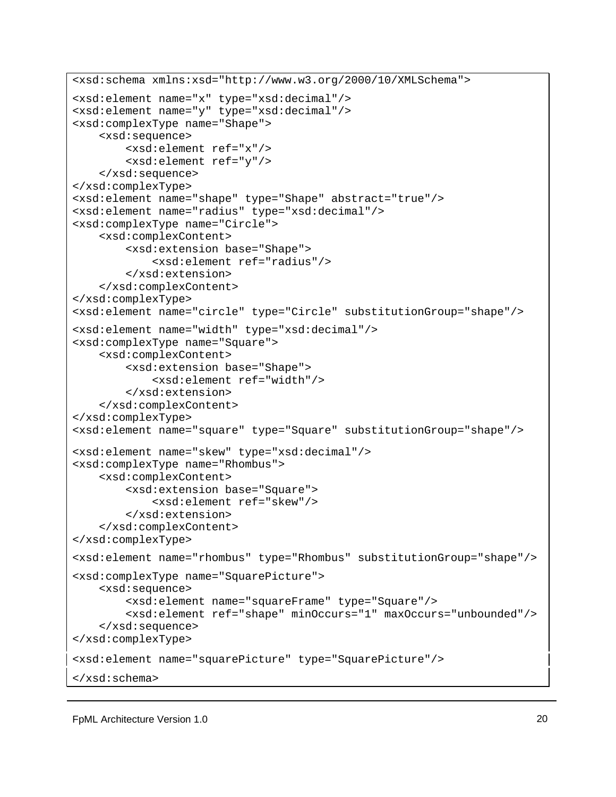```
<xsd:schema xmlns:xsd="http://www.w3.org/2000/10/XMLSchema">
<xsd:element name="x" type="xsd:decimal"/>
<xsd:element name="y" type="xsd:decimal"/>
<xsd:complexType name="Shape">
    <xsd:sequence>
        <xsd:element ref="x"/>
        <xsd:element ref="y"/>
    </xsd:sequence>
</xsd:complexType>
<xsd:element name="shape" type="Shape" abstract="true"/>
<xsd:element name="radius" type="xsd:decimal"/>
<xsd:complexType name="Circle">
    <xsd:complexContent>
        <xsd:extension base="Shape">
            <xsd:element ref="radius"/>
        </xsd:extension>
    </xsd:complexContent>
</xsd:complexType>
<xsd:element name="circle" type="Circle" substitutionGroup="shape"/>
<xsd:element name="width" type="xsd:decimal"/>
<xsd:complexType name="Square">
    <xsd:complexContent>
        <xsd:extension base="Shape">
            <xsd:element ref="width"/>
        </xsd:extension>
    </xsd:complexContent>
</xsd:complexType>
<xsd:element name="square" type="Square" substitutionGroup="shape"/>
<xsd:element name="skew" type="xsd:decimal"/>
<xsd:complexType name="Rhombus">
    <xsd:complexContent>
        <xsd:extension base="Square">
            <xsd:element ref="skew"/>
        </xsd:extension>
    </xsd:complexContent>
</xsd:complexType>
<xsd:element name="rhombus" type="Rhombus" substitutionGroup="shape"/>
<xsd:complexType name="SquarePicture">
    <xsd:sequence>
        <xsd:element name="squareFrame" type="Square"/>
        <xsd:element ref="shape" minOccurs="1" maxOccurs="unbounded"/>
    </xsd:sequence>
</xsd:complexType>
<xsd:element name="squarePicture" type="SquarePicture"/>
</xsd:schema>
```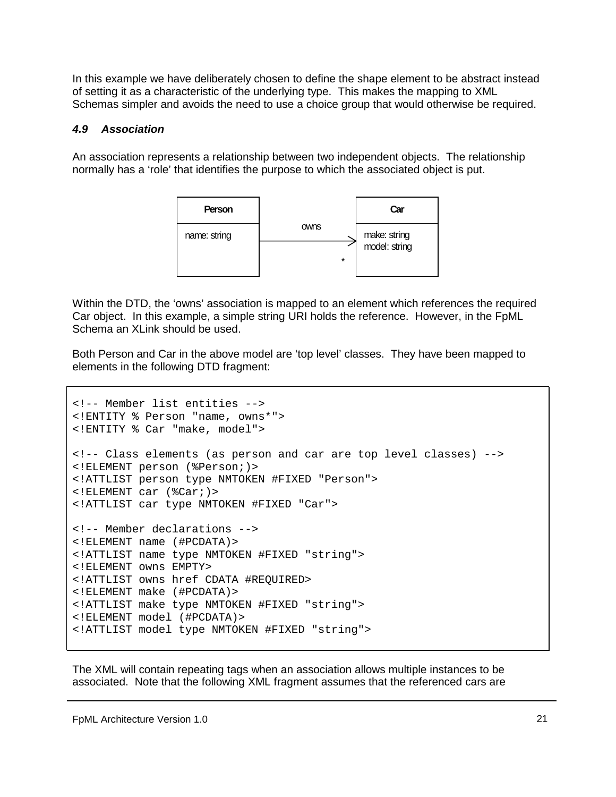<span id="page-20-0"></span>In this example we have deliberately chosen to define the shape element to be abstract instead of setting it as a characteristic of the underlying type. This makes the mapping to XML Schemas simpler and avoids the need to use a choice group that would otherwise be required.

#### *4.9 Association*

An association represents a relationship between two independent objects. The relationship normally has a 'role' that identifies the purpose to which the associated object is put.



Within the DTD, the 'owns' association is mapped to an element which references the required Car object. In this example, a simple string URI holds the reference. However, in the FpML Schema an XLink should be used.

Both Person and Car in the above model are 'top level' classes. They have been mapped to elements in the following DTD fragment:

```
<!-- Member list entities -->
<!ENTITY % Person "name, owns*">
<!ENTITY % Car "make, model">
<!-- Class elements (as person and car are top level classes) -->
<!ELEMENT person (%Person;)>
<!ATTLIST person type NMTOKEN #FIXED "Person">
<!ELEMENT car (%Car;)>
<!ATTLIST car type NMTOKEN #FIXED "Car">
<!-- Member declarations -->
<!ELEMENT name (#PCDATA)>
<!ATTLIST name type NMTOKEN #FIXED "string">
<!ELEMENT owns EMPTY>
<!ATTLIST owns href CDATA #REQUIRED>
<!ELEMENT make (#PCDATA)>
<!ATTLIST make type NMTOKEN #FIXED "string">
<!ELEMENT model (#PCDATA)>
<!ATTLIST model type NMTOKEN #FIXED "string">
```
The XML will contain repeating tags when an association allows multiple instances to be associated. Note that the following XML fragment assumes that the referenced cars are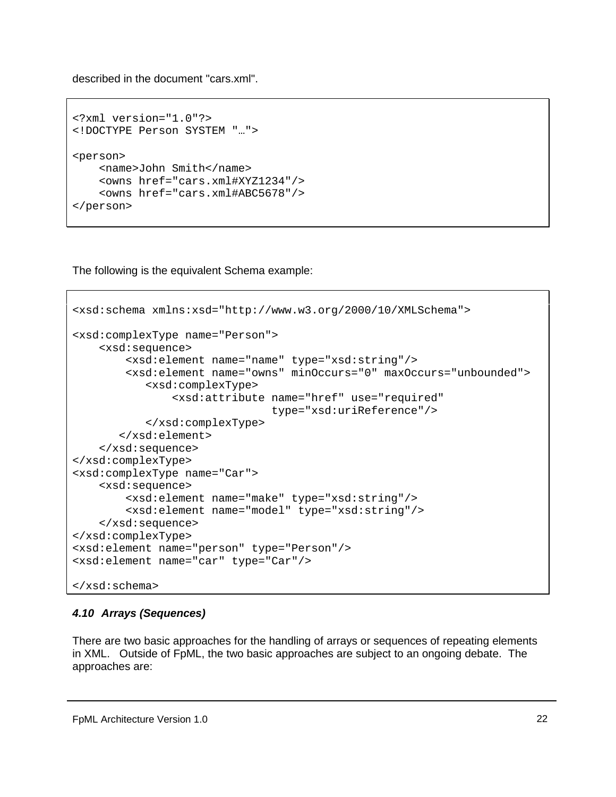<span id="page-21-0"></span>described in the document "cars.xml".

```
<?xml version="1.0"?>
<!DOCTYPE Person SYSTEM "…">
<person>
    <name>John Smith</name>
    <owns href="cars.xml#XYZ1234"/>
    <owns href="cars.xml#ABC5678"/>
</person>
```
The following is the equivalent Schema example:

```
<xsd:schema xmlns:xsd="http://www.w3.org/2000/10/XMLSchema">
<xsd:complexType name="Person">
    <xsd:sequence>
        <xsd:element name="name" type="xsd:string"/>
        <xsd:element name="owns" minOccurs="0" maxOccurs="unbounded">
           <xsd:complexType>
               <xsd:attribute name="href" use="required"
                              type="xsd:uriReference"/>
           </xsd:complexType>
       </xsd:element>
    </xsd:sequence>
</xsd:complexType>
<xsd:complexType name="Car">
    <xsd:sequence>
        <xsd:element name="make" type="xsd:string"/>
        <xsd:element name="model" type="xsd:string"/>
    </xsd:sequence>
</xsd:complexType>
<xsd:element name="person" type="Person"/>
<xsd:element name="car" type="Car"/>
</xsd:schema>
```
### *4.10 Arrays (Sequences)*

There are two basic approaches for the handling of arrays or sequences of repeating elements in XML. Outside of FpML, the two basic approaches are subject to an ongoing debate. The approaches are: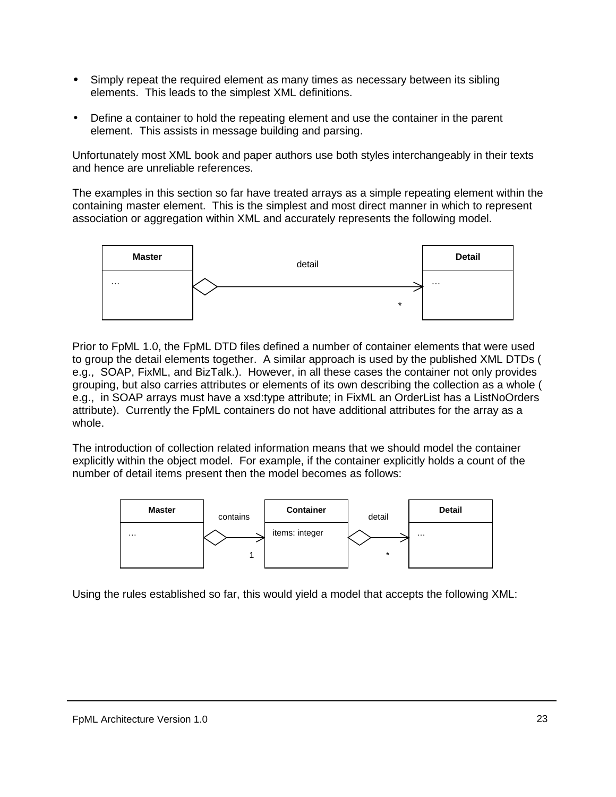- Simply repeat the required element as many times as necessary between its sibling elements. This leads to the simplest XML definitions.
- Define a container to hold the repeating element and use the container in the parent element. This assists in message building and parsing.

Unfortunately most XML book and paper authors use both styles interchangeably in their texts and hence are unreliable references.

The examples in this section so far have treated arrays as a simple repeating element within the containing master element. This is the simplest and most direct manner in which to represent association or aggregation within XML and accurately represents the following model.



Prior to FpML 1.0, the FpML DTD files defined a number of container elements that were used to group the detail elements together. A similar approach is used by the published XML DTDs ( e.g., SOAP, FixML, and BizTalk.). However, in all these cases the container not only provides grouping, but also carries attributes or elements of its own describing the collection as a whole ( e.g., in SOAP arrays must have a xsd:type attribute; in FixML an OrderList has a ListNoOrders attribute). Currently the FpML containers do not have additional attributes for the array as a whole.

The introduction of collection related information means that we should model the container explicitly within the object model. For example, if the container explicitly holds a count of the number of detail items present then the model becomes as follows:



Using the rules established so far, this would yield a model that accepts the following XML: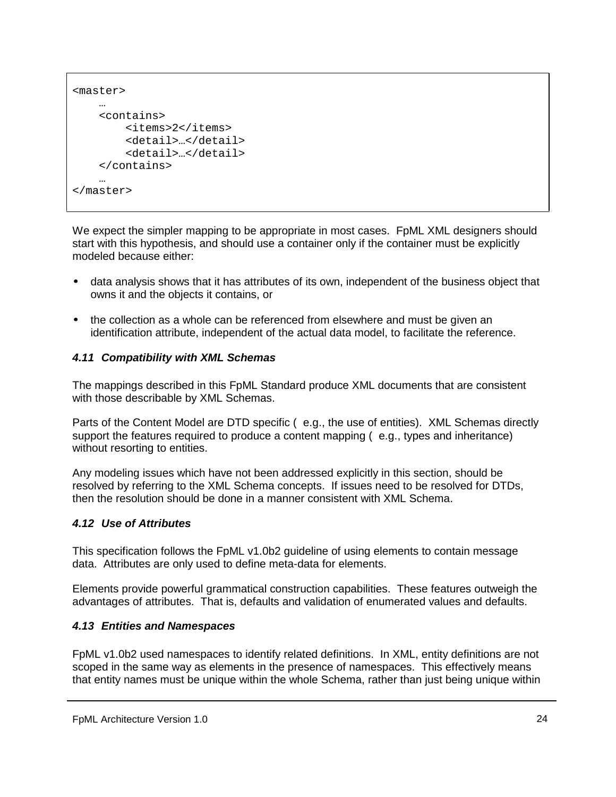```
<master>
    …
    <contains>
        <items>2</items>
        <detail>…</detail>
        <detail>…</detail>
    </contains>
    …
</master>
```
We expect the simpler mapping to be appropriate in most cases. FpML XML designers should start with this hypothesis, and should use a container only if the container must be explicitly modeled because either:

- data analysis shows that it has attributes of its own, independent of the business object that owns it and the objects it contains, or
- the collection as a whole can be referenced from elsewhere and must be given an identification attribute, independent of the actual data model, to facilitate the reference.

### *4.11 Compatibility with XML Schemas*

The mappings described in this FpML Standard produce XML documents that are consistent with those describable by XML Schemas.

Parts of the Content Model are DTD specific ( e.g., the use of entities). XML Schemas directly support the features required to produce a content mapping (e.g., types and inheritance) without resorting to entities.

Any modeling issues which have not been addressed explicitly in this section, should be resolved by referring to the XML Schema concepts. If issues need to be resolved for DTDs, then the resolution should be done in a manner consistent with XML Schema.

### *4.12 Use of Attributes*

This specification follows the FpML v1.0b2 guideline of using elements to contain message data. Attributes are only used to define meta-data for elements.

Elements provide powerful grammatical construction capabilities. These features outweigh the advantages of attributes. That is, defaults and validation of enumerated values and defaults.

### *4.13 Entities and Namespaces*

FpML v1.0b2 used namespaces to identify related definitions. In XML, entity definitions are not scoped in the same way as elements in the presence of namespaces. This effectively means that entity names must be unique within the whole Schema, rather than just being unique within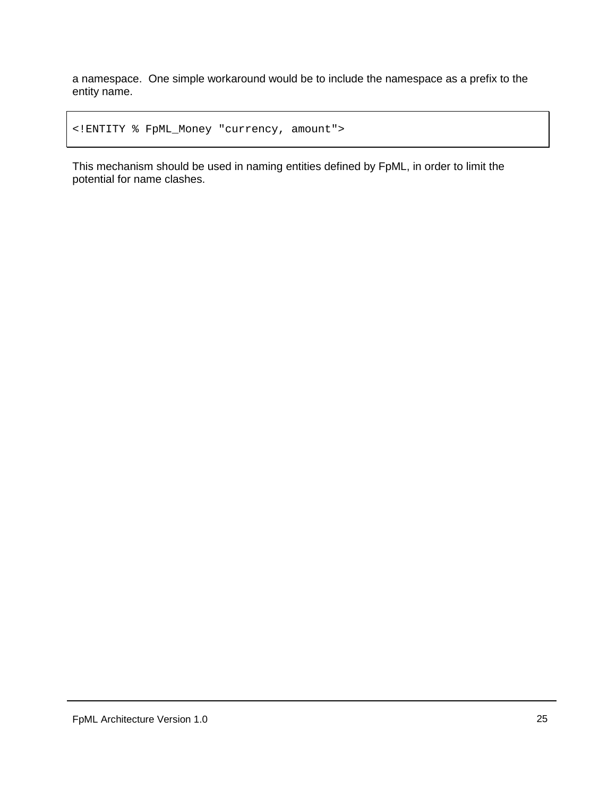a namespace. One simple workaround would be to include the namespace as a prefix to the entity name.

```
<!ENTITY % FpML_Money "currency, amount">
```
This mechanism should be used in naming entities defined by FpML, in order to limit the potential for name clashes.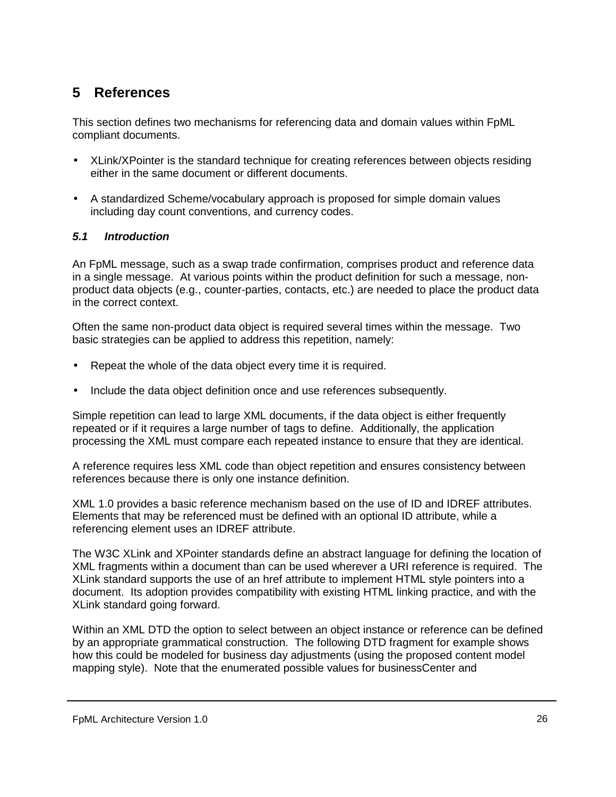# <span id="page-25-0"></span>**5 References**

This section defines two mechanisms for referencing data and domain values within FpML compliant documents.

- XLink/XPointer is the standard technique for creating references between objects residing either in the same document or different documents.
- A standardized Scheme/vocabulary approach is proposed for simple domain values including day count conventions, and currency codes.

### *5.1 Introduction*

An FpML message, such as a swap trade confirmation, comprises product and reference data in a single message. At various points within the product definition for such a message, nonproduct data objects (e.g., counter-parties, contacts, etc.) are needed to place the product data in the correct context.

Often the same non-product data object is required several times within the message. Two basic strategies can be applied to address this repetition, namely:

- Repeat the whole of the data object every time it is required.
- Include the data object definition once and use references subsequently.

Simple repetition can lead to large XML documents, if the data object is either frequently repeated or if it requires a large number of tags to define. Additionally, the application processing the XML must compare each repeated instance to ensure that they are identical.

A reference requires less XML code than object repetition and ensures consistency between references because there is only one instance definition.

XML 1.0 provides a basic reference mechanism based on the use of ID and IDREF attributes. Elements that may be referenced must be defined with an optional ID attribute, while a referencing element uses an IDREF attribute.

The W3C XLink and XPointer standards define an abstract language for defining the location of XML fragments within a document than can be used wherever a URI reference is required. The XLink standard supports the use of an href attribute to implement HTML style pointers into a document. Its adoption provides compatibility with existing HTML linking practice, and with the XLink standard going forward.

Within an XML DTD the option to select between an object instance or reference can be defined by an appropriate grammatical construction. The following DTD fragment for example shows how this could be modeled for business day adjustments (using the proposed content model mapping style). Note that the enumerated possible values for businessCenter and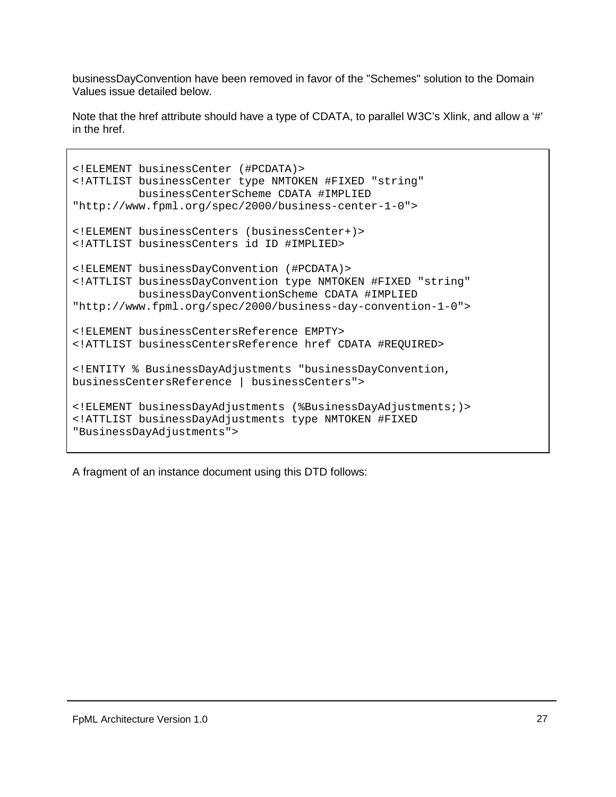businessDayConvention have been removed in favor of the "Schemes" solution to the Domain Values issue detailed below.

Note that the href attribute should have a type of CDATA, to parallel W3C's Xlink, and allow a '#' in the href.

```
<!ELEMENT businessCenter (#PCDATA)>
<!ATTLIST businessCenter type NMTOKEN #FIXED "string"
          businessCenterScheme CDATA #IMPLIED
"http://www.fpml.org/spec/2000/business-center-1-0">
<!ELEMENT businessCenters (businessCenter+)>
<!ATTLIST businessCenters id ID #IMPLIED>
<!ELEMENT businessDayConvention (#PCDATA)>
<!ATTLIST businessDayConvention type NMTOKEN #FIXED "string"
         businessDayConventionScheme CDATA #IMPLIED
"http://www.fpml.org/spec/2000/business-day-convention-1-0">
<!ELEMENT businessCentersReference EMPTY>
<!ATTLIST businessCentersReference href CDATA #REQUIRED>
<!ENTITY % BusinessDayAdjustments "businessDayConvention,
businessCentersReference | businessCenters">
<!ELEMENT businessDayAdjustments (%BusinessDayAdjustments;)>
<!ATTLIST businessDayAdjustments type NMTOKEN #FIXED
"BusinessDayAdjustments">
```
A fragment of an instance document using this DTD follows: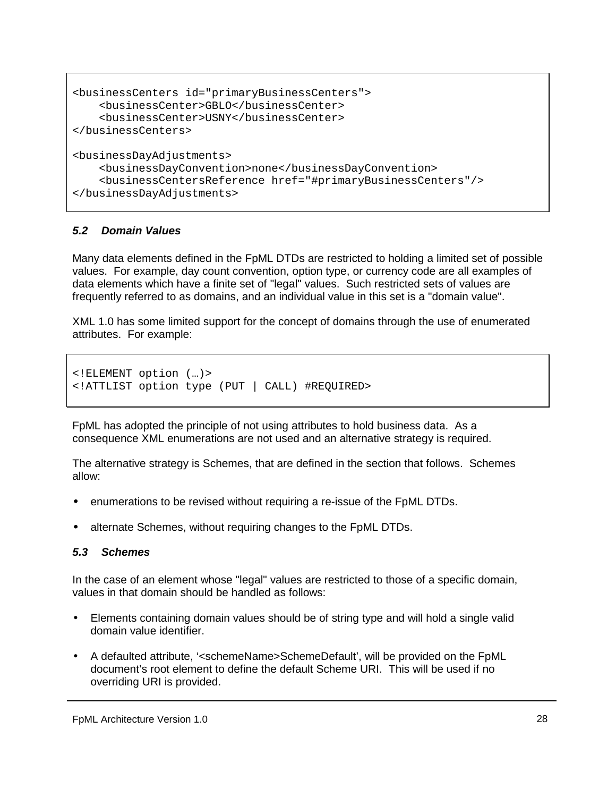```
<businessCenters id="primaryBusinessCenters">
   <businessCenter>GBLO</businessCenter>
    <businessCenter>USNY</businessCenter>
</businessCenters>
<businessDayAdjustments>
   <businessDayConvention>none</businessDayConvention>
    <businessCentersReference href="#primaryBusinessCenters"/>
</businessDayAdjustments>
```
#### *5.2 Domain Values*

Many data elements defined in the FpML DTDs are restricted to holding a limited set of possible values. For example, day count convention, option type, or currency code are all examples of data elements which have a finite set of "legal" values. Such restricted sets of values are frequently referred to as domains, and an individual value in this set is a "domain value".

XML 1.0 has some limited support for the concept of domains through the use of enumerated attributes. For example:

```
<!ELEMENT option (…)>
<!ATTLIST option type (PUT | CALL) #REQUIRED>
```
FpML has adopted the principle of not using attributes to hold business data. As a consequence XML enumerations are not used and an alternative strategy is required.

The alternative strategy is Schemes, that are defined in the section that follows. Schemes allow:

- enumerations to be revised without requiring a re-issue of the FpML DTDs.
- alternate Schemes, without requiring changes to the FpML DTDs.

#### *5.3 Schemes*

In the case of an element whose "legal" values are restricted to those of a specific domain, values in that domain should be handled as follows:

- Elements containing domain values should be of string type and will hold a single valid domain value identifier.
- A defaulted attribute, '<schemeName>SchemeDefault', will be provided on the FpML document's root element to define the default Scheme URI. This will be used if no overriding URI is provided.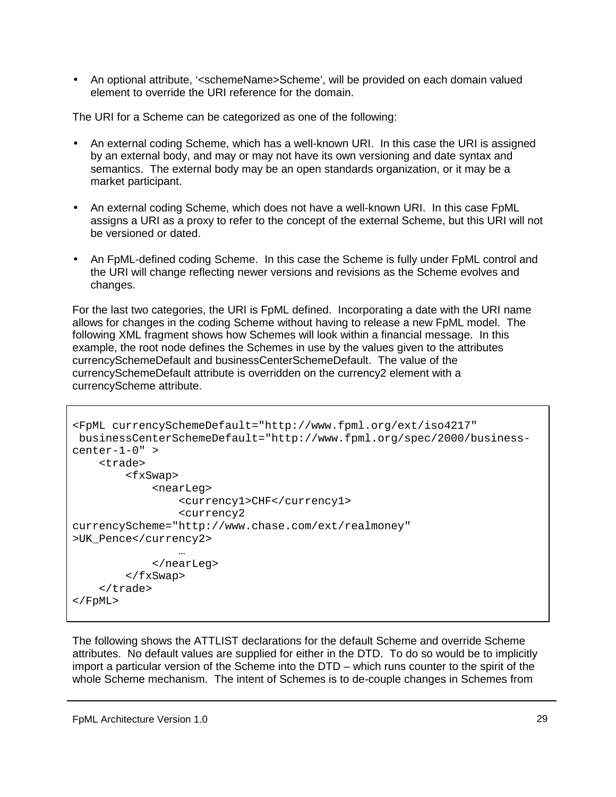• An optional attribute, '<schemeName>Scheme', will be provided on each domain valued element to override the URI reference for the domain.

The URI for a Scheme can be categorized as one of the following:

- An external coding Scheme, which has a well-known URI. In this case the URI is assigned by an external body, and may or may not have its own versioning and date syntax and semantics. The external body may be an open standards organization, or it may be a market participant.
- An external coding Scheme, which does not have a well-known URI. In this case FpML assigns a URI as a proxy to refer to the concept of the external Scheme, but this URI will not be versioned or dated.
- An FpML-defined coding Scheme. In this case the Scheme is fully under FpML control and the URI will change reflecting newer versions and revisions as the Scheme evolves and changes.

For the last two categories, the URI is FpML defined. Incorporating a date with the URI name allows for changes in the coding Scheme without having to release a new FpML model. The following XML fragment shows how Schemes will look within a financial message. In this example, the root node defines the Schemes in use by the values given to the attributes currencySchemeDefault and businessCenterSchemeDefault. The value of the currencySchemeDefault attribute is overridden on the currency2 element with a currencyScheme attribute.

```
<FpML currencySchemeDefault="http://www.fpml.org/ext/iso4217"
businessCenterSchemeDefault="http://www.fpml.org/spec/2000/business-
center-1-0" >
    <trade>
        <fxSwap>
            <nearLeg>
                <currency1>CHF</currency1>
                <currency2
currencyScheme="http://www.chase.com/ext/realmoney"
>UK_Pence</currency2>
                …
            </nearLeg>
        </fxSwap>
    </trade>
</FpML>
```
The following shows the ATTLIST declarations for the default Scheme and override Scheme attributes. No default values are supplied for either in the DTD. To do so would be to implicitly import a particular version of the Scheme into the DTD – which runs counter to the spirit of the whole Scheme mechanism. The intent of Schemes is to de-couple changes in Schemes from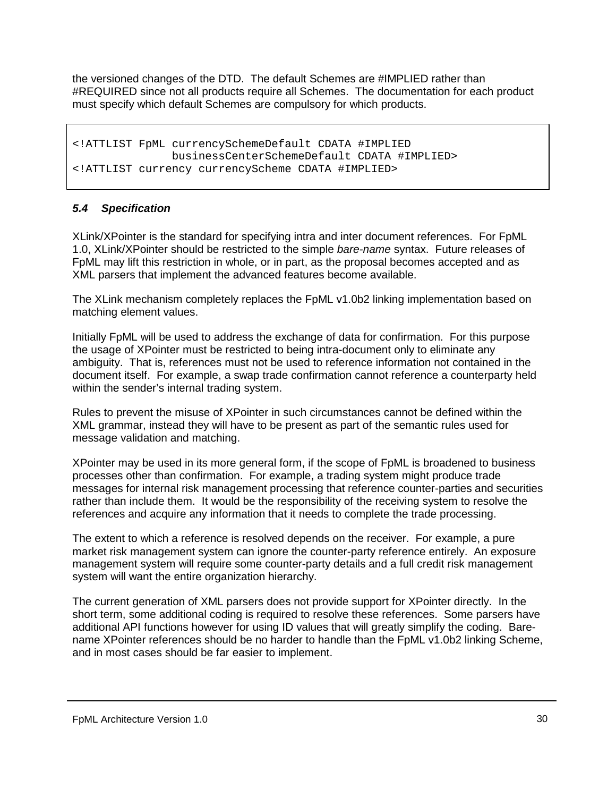<span id="page-29-0"></span>the versioned changes of the DTD. The default Schemes are #IMPLIED rather than #REQUIRED since not all products require all Schemes. The documentation for each product must specify which default Schemes are compulsory for which products.

```
<!ATTLIST FpML currencySchemeDefault CDATA #IMPLIED
              businessCenterSchemeDefault CDATA #IMPLIED>
<!ATTLIST currency currencyScheme CDATA #IMPLIED>
```
### *5.4 Specification*

XLink/XPointer is the standard for specifying intra and inter document references. For FpML 1.0, XLink/XPointer should be restricted to the simple *bare-name* syntax. Future releases of FpML may lift this restriction in whole, or in part, as the proposal becomes accepted and as XML parsers that implement the advanced features become available.

The XLink mechanism completely replaces the FpML v1.0b2 linking implementation based on matching element values.

Initially FpML will be used to address the exchange of data for confirmation. For this purpose the usage of XPointer must be restricted to being intra-document only to eliminate any ambiguity. That is, references must not be used to reference information not contained in the document itself. For example, a swap trade confirmation cannot reference a counterparty held within the sender's internal trading system.

Rules to prevent the misuse of XPointer in such circumstances cannot be defined within the XML grammar, instead they will have to be present as part of the semantic rules used for message validation and matching.

XPointer may be used in its more general form, if the scope of FpML is broadened to business processes other than confirmation. For example, a trading system might produce trade messages for internal risk management processing that reference counter-parties and securities rather than include them. It would be the responsibility of the receiving system to resolve the references and acquire any information that it needs to complete the trade processing.

The extent to which a reference is resolved depends on the receiver. For example, a pure market risk management system can ignore the counter-party reference entirely. An exposure management system will require some counter-party details and a full credit risk management system will want the entire organization hierarchy.

The current generation of XML parsers does not provide support for XPointer directly. In the short term, some additional coding is required to resolve these references. Some parsers have additional API functions however for using ID values that will greatly simplify the coding. Barename XPointer references should be no harder to handle than the FpML v1.0b2 linking Scheme, and in most cases should be far easier to implement.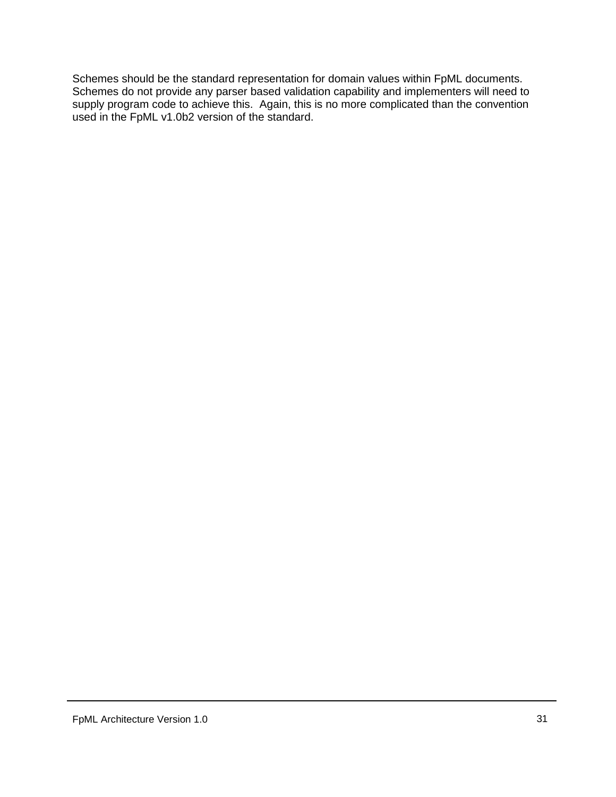Schemes should be the standard representation for domain values within FpML documents. Schemes do not provide any parser based validation capability and implementers will need to supply program code to achieve this. Again, this is no more complicated than the convention used in the FpML v1.0b2 version of the standard.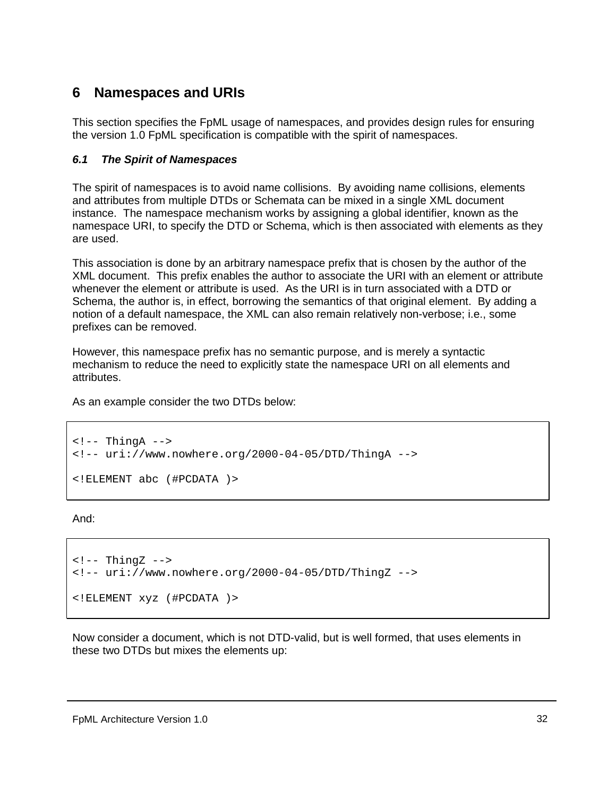# <span id="page-31-0"></span>**6 Namespaces and URIs**

This section specifies the FpML usage of namespaces, and provides design rules for ensuring the version 1.0 FpML specification is compatible with the spirit of namespaces.

### *6.1 The Spirit of Namespaces*

The spirit of namespaces is to avoid name collisions. By avoiding name collisions, elements and attributes from multiple DTDs or Schemata can be mixed in a single XML document instance. The namespace mechanism works by assigning a global identifier, known as the namespace URI, to specify the DTD or Schema, which is then associated with elements as they are used.

This association is done by an arbitrary namespace prefix that is chosen by the author of the XML document. This prefix enables the author to associate the URI with an element or attribute whenever the element or attribute is used. As the URI is in turn associated with a DTD or Schema, the author is, in effect, borrowing the semantics of that original element. By adding a notion of a default namespace, the XML can also remain relatively non-verbose; i.e., some prefixes can be removed.

However, this namespace prefix has no semantic purpose, and is merely a syntactic mechanism to reduce the need to explicitly state the namespace URI on all elements and attributes.

As an example consider the two DTDs below:

```
\leftarrow :-- ThingA -->
<!-- uri://www.nowhere.org/2000-04-05/DTD/ThingA -->
<!ELEMENT abc (#PCDATA )>
```
And:

```
\left\langle -1 - \text{ThingZ} \right\rangle<!-- uri://www.nowhere.org/2000-04-05/DTD/ThingZ -->
<!ELEMENT xyz (#PCDATA )>
```
Now consider a document, which is not DTD-valid, but is well formed, that uses elements in these two DTDs but mixes the elements up: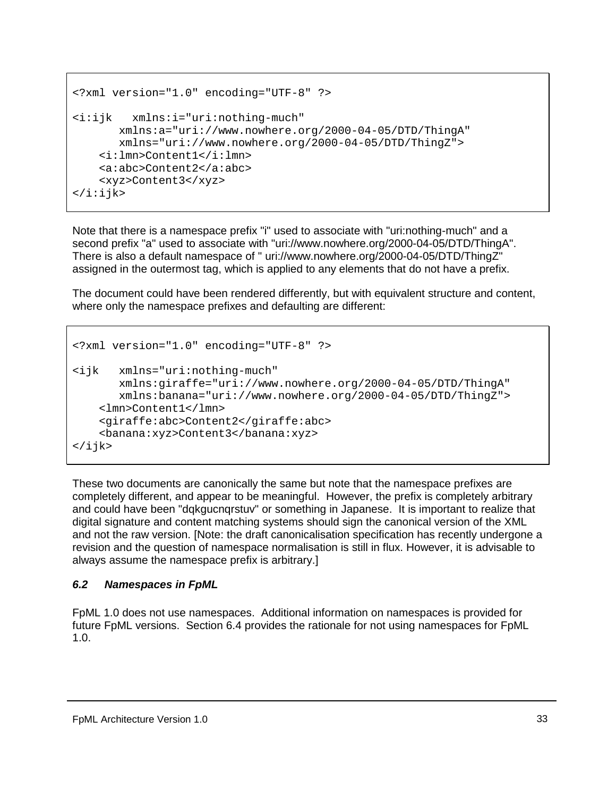```
<?xml version="1.0" encoding="UTF-8" ?>
<i:ijk xmlns:i="uri:nothing-much"
      xmlns:a="uri://www.nowhere.org/2000-04-05/DTD/ThingA"
       xmlns="uri://www.nowhere.org/2000-04-05/DTD/ThingZ">
   <i:lmn>Content1</i:lmn>
   <a:abc>Content2</a:abc>
    <xyz>Content3</xyz>
\langlei:ijk>
```
Note that there is a namespace prefix "i" used to associate with "uri:nothing-much" and a second prefix "a" used to associate with "uri://www.nowhere.org/2000-04-05/DTD/ThingA". There is also a default namespace of " uri://www.nowhere.org/2000-04-05/DTD/ThingZ" assigned in the outermost tag, which is applied to any elements that do not have a prefix.

The document could have been rendered differently, but with equivalent structure and content, where only the namespace prefixes and defaulting are different:

```
<?xml version="1.0" encoding="UTF-8" ?>
<ijk xmlns="uri:nothing-much"
       xmlns:giraffe="uri://www.nowhere.org/2000-04-05/DTD/ThingA"
       xmlns:banana="uri://www.nowhere.org/2000-04-05/DTD/ThingZ">
    <lmn>Content1</lmn>
    <giraffe:abc>Content2</giraffe:abc>
    <banana:xyz>Content3</banana:xyz>
\langleijk>
```
These two documents are canonically the same but note that the namespace prefixes are completely different, and appear to be meaningful. However, the prefix is completely arbitrary and could have been "dqkgucnqrstuv" or something in Japanese. It is important to realize that digital signature and content matching systems should sign the canonical version of the XML and not the raw version. [Note: the draft canonicalisation specification has recently undergone a revision and the question of namespace normalisation is still in flux. However, it is advisable to always assume the namespace prefix is arbitrary.]

### *6.2 Namespaces in FpML*

FpML 1.0 does not use namespaces. Additional information on namespaces is provided for future FpML versions. Section 6.4 provides the rationale for not using namespaces for FpML 1.0.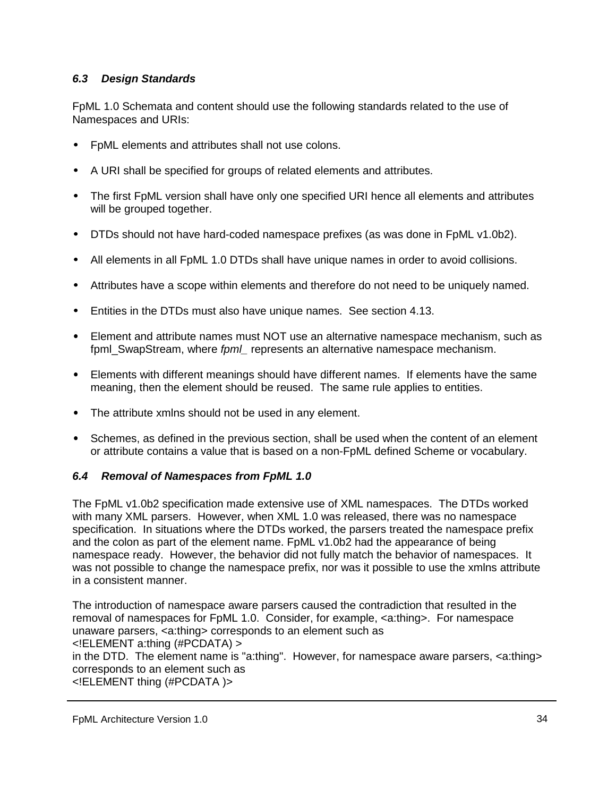### <span id="page-33-0"></span>*6.3 Design Standards*

FpML 1.0 Schemata and content should use the following standards related to the use of Namespaces and URIs:

- FpML elements and attributes shall not use colons.
- A URI shall be specified for groups of related elements and attributes.
- The first FpML version shall have only one specified URI hence all elements and attributes will be grouped together.
- DTDs should not have hard-coded namespace prefixes (as was done in FpML v1.0b2).
- All elements in all FpML 1.0 DTDs shall have unique names in order to avoid collisions.
- Attributes have a scope within elements and therefore do not need to be uniquely named.
- Entities in the DTDs must also have unique names. See section 4.13.
- Element and attribute names must NOT use an alternative namespace mechanism, such as fpml\_SwapStream, where *fpml\_* represents an alternative namespace mechanism.
- Elements with different meanings should have different names. If elements have the same meaning, then the element should be reused. The same rule applies to entities.
- The attribute xmlns should not be used in any element.
- Schemes, as defined in the previous section, shall be used when the content of an element or attribute contains a value that is based on a non-FpML defined Scheme or vocabulary.

### *6.4 Removal of Namespaces from FpML 1.0*

The FpML v1.0b2 specification made extensive use of XML namespaces. The DTDs worked with many XML parsers. However, when XML 1.0 was released, there was no namespace specification. In situations where the DTDs worked, the parsers treated the namespace prefix and the colon as part of the element name. FpML v1.0b2 had the appearance of being namespace ready. However, the behavior did not fully match the behavior of namespaces. It was not possible to change the namespace prefix, nor was it possible to use the xmlns attribute in a consistent manner.

The introduction of namespace aware parsers caused the contradiction that resulted in the removal of namespaces for FpML 1.0. Consider, for example, <a:thing>. For namespace unaware parsers, <a:thing> corresponds to an element such as <!ELEMENT a:thing (#PCDATA) > in the DTD. The element name is "a:thing". However, for namespace aware parsers, <a:thing> corresponds to an element such as <!ELEMENT thing (#PCDATA )>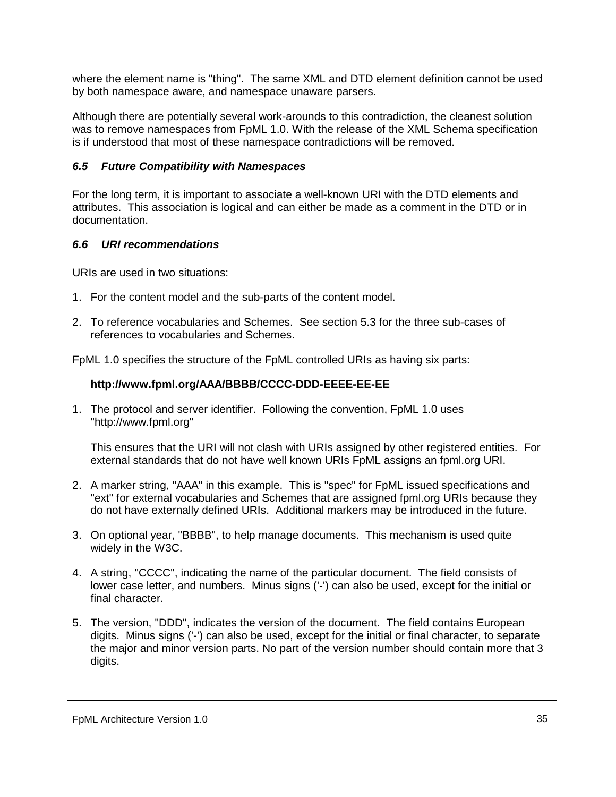<span id="page-34-0"></span>where the element name is "thing". The same XML and DTD element definition cannot be used by both namespace aware, and namespace unaware parsers.

Although there are potentially several work-arounds to this contradiction, the cleanest solution was to remove namespaces from FpML 1.0. With the release of the XML Schema specification is if understood that most of these namespace contradictions will be removed.

### *6.5 Future Compatibility with Namespaces*

For the long term, it is important to associate a well-known URI with the DTD elements and attributes. This association is logical and can either be made as a comment in the DTD or in documentation.

#### *6.6 URI recommendations*

URIs are used in two situations:

- 1. For the content model and the sub-parts of the content model.
- 2. To reference vocabularies and Schemes. See section 5.3 for the three sub-cases of references to vocabularies and Schemes.

FpML 1.0 specifies the structure of the FpML controlled URIs as having six parts:

### **http://www.fpml.org/AAA/BBBB/CCCC-DDD-EEEE-EE-EE**

1. The protocol and server identifier. Following the convention, FpML 1.0 uses "http://www.fpml.org"

This ensures that the URI will not clash with URIs assigned by other registered entities. For external standards that do not have well known URIs FpML assigns an fpml.org URI.

- 2. A marker string, "AAA" in this example. This is "spec" for FpML issued specifications and "ext" for external vocabularies and Schemes that are assigned fpml.org URIs because they do not have externally defined URIs. Additional markers may be introduced in the future.
- 3. On optional year, "BBBB", to help manage documents. This mechanism is used quite widely in the W3C.
- 4. A string, "CCCC", indicating the name of the particular document. The field consists of lower case letter, and numbers. Minus signs ('-') can also be used, except for the initial or final character.
- 5. The version, "DDD", indicates the version of the document. The field contains European digits. Minus signs ('-') can also be used, except for the initial or final character, to separate the major and minor version parts. No part of the version number should contain more that 3 digits.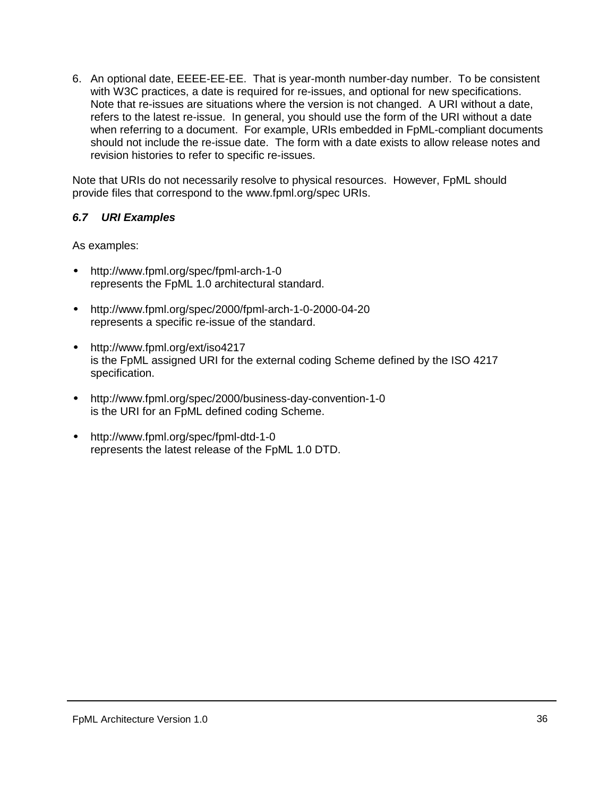<span id="page-35-0"></span>6. An optional date, EEEE-EE-EE. That is year-month number-day number. To be consistent with W3C practices, a date is required for re-issues, and optional for new specifications. Note that re-issues are situations where the version is not changed. A URI without a date, refers to the latest re-issue. In general, you should use the form of the URI without a date when referring to a document. For example, URIs embedded in FpML-compliant documents should not include the re-issue date. The form with a date exists to allow release notes and revision histories to refer to specific re-issues.

Note that URIs do not necessarily resolve to physical resources. However, FpML should provide files that correspond to the www.fpml.org/spec URIs.

#### *6.7 URI Examples*

As examples:

- http://www.fpml.org/spec/fpml-arch-1-0 represents the FpML 1.0 architectural standard.
- http://www.fpml.org/spec/2000/fpml-arch-1-0-2000-04-20 represents a specific re-issue of the standard.
- http://www.fpml.org/ext/iso4217 is the FpML assigned URI for the external coding Scheme defined by the ISO 4217 specification.
- http://www.fpml.org/spec/2000/business-day-convention-1-0 is the URI for an FpML defined coding Scheme.
- http://www.fpml.org/spec/fpml-dtd-1-0 represents the latest release of the FpML 1.0 DTD.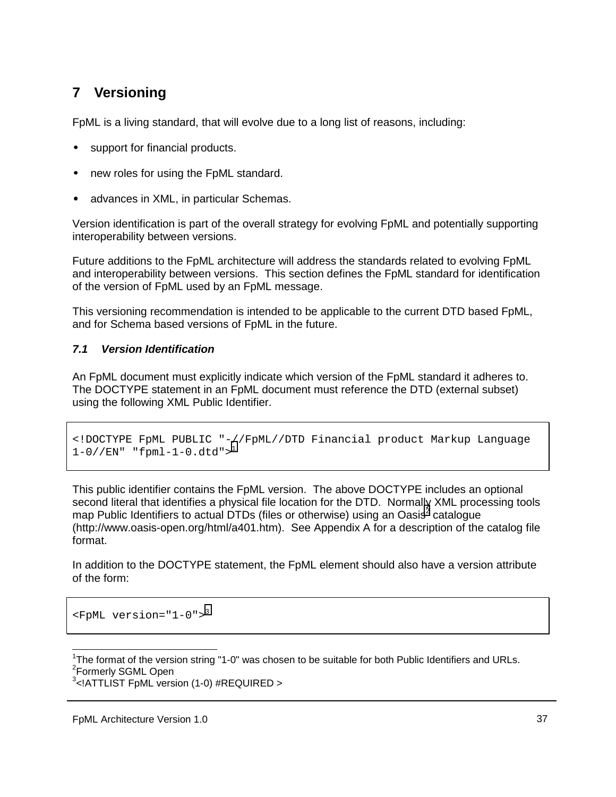# <span id="page-36-0"></span>**7 Versioning**

FpML is a living standard, that will evolve due to a long list of reasons, including:

- support for financial products.
- new roles for using the FpML standard.
- advances in XML, in particular Schemas.

Version identification is part of the overall strategy for evolving FpML and potentially supporting interoperability between versions.

Future additions to the FpML architecture will address the standards related to evolving FpML and interoperability between versions. This section defines the FpML standard for identification of the version of FpML used by an FpML message.

This versioning recommendation is intended to be applicable to the current DTD based FpML, and for Schema based versions of FpML in the future.

### *7.1 Version Identification*

An FpML document must explicitly indicate which version of the FpML standard it adheres to. The DOCTYPE statement in an FpML document must reference the DTD (external subset) using the following XML Public Identifier.

```
<!DOCTYPE FpML PUBLIC "-//FpML//DTD Financial product Markup Language
1-0//EN" "fpml-1-0.dtd"><sup>1</sup>
```
This public identifier contains the FpML version. The above DOCTYPE includes an optional second literal that identifies a physical file location for the DTD. Normally XML processing tools map Public Identifiers to actual DTDs (files or otherwise) using an Oasis<sup>2</sup> catalogue (http://www.oasis-open.org/html/a401.htm). See Appendix A for a description of the catalog file format.

In addition to the DOCTYPE statement, the FpML element should also have a version attribute of the form:

```
<FpML version="1-0">3
```
l <sup>1</sup>The format of the version string "1-0" was chosen to be suitable for both Public Identifiers and URLs. <sup>2</sup>Formerly SGML Open

```
3
<!ATTLIST FpML version (1-0) #REQUIRED >
```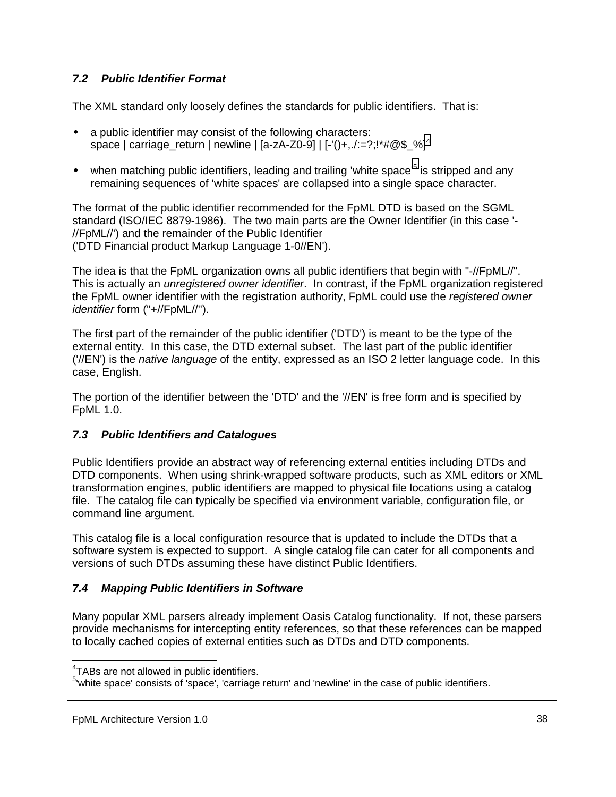### <span id="page-37-0"></span>*7.2 Public Identifier Format*

The XML standard only loosely defines the standards for public identifiers. That is:

- a public identifier may consist of the following characters: space | carriage\_return | newline | [a-zA-Z0-9] | [-'()+,./:=?;!\*#@\$\_%]<sup>4</sup>
- when matching public identifiers, leading and trailing 'white space'<sup>5</sup> is stripped and any remaining sequences of 'white spaces' are collapsed into a single space character.

The format of the public identifier recommended for the FpML DTD is based on the SGML standard (ISO/IEC 8879-1986). The two main parts are the Owner Identifier (in this case '- //FpML//') and the remainder of the Public Identifier ('DTD Financial product Markup Language 1-0//EN').

The idea is that the FpML organization owns all public identifiers that begin with "-//FpML//". This is actually an *unregistered owner identifier*. In contrast, if the FpML organization registered the FpML owner identifier with the registration authority, FpML could use the *registered owner identifier* form ("+//FpML//'').

The first part of the remainder of the public identifier ('DTD') is meant to be the type of the external entity. In this case, the DTD external subset. The last part of the public identifier ('//EN') is the *native language* of the entity, expressed as an ISO 2 letter language code. In this case, English.

The portion of the identifier between the 'DTD' and the '//EN' is free form and is specified by FpML 1.0.

#### *7.3 Public Identifiers and Catalogues*

Public Identifiers provide an abstract way of referencing external entities including DTDs and DTD components. When using shrink-wrapped software products, such as XML editors or XML transformation engines, public identifiers are mapped to physical file locations using a catalog file. The catalog file can typically be specified via environment variable, configuration file, or command line argument.

This catalog file is a local configuration resource that is updated to include the DTDs that a software system is expected to support. A single catalog file can cater for all components and versions of such DTDs assuming these have distinct Public Identifiers.

#### *7.4 Mapping Public Identifiers in Software*

Many popular XML parsers already implement Oasis Catalog functionality. If not, these parsers provide mechanisms for intercepting entity references, so that these references can be mapped to locally cached copies of external entities such as DTDs and DTD components.

 $\overline{a}$ 

<sup>&</sup>lt;sup>4</sup>TABs are not allowed in public identifiers.

<sup>&</sup>lt;sup>5</sup>'white space' consists of 'space', 'carriage return' and 'newline' in the case of public identifiers.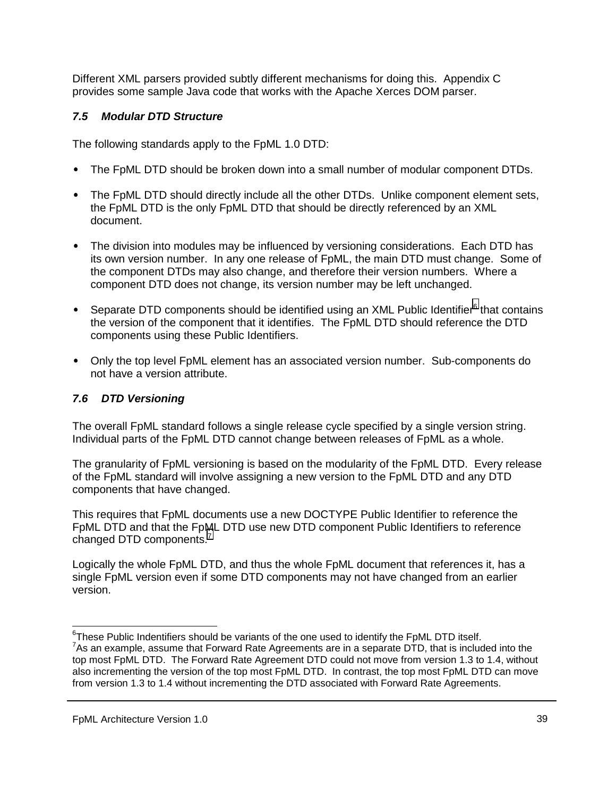<span id="page-38-0"></span>Different XML parsers provided subtly different mechanisms for doing this. Appendix C provides some sample Java code that works with the Apache Xerces DOM parser.

### *7.5 Modular DTD Structure*

The following standards apply to the FpML 1.0 DTD:

- The FpML DTD should be broken down into a small number of modular component DTDs.
- The FpML DTD should directly include all the other DTDs. Unlike component element sets, the FpML DTD is the only FpML DTD that should be directly referenced by an XML document.
- The division into modules may be influenced by versioning considerations. Each DTD has its own version number. In any one release of FpML, the main DTD must change. Some of the component DTDs may also change, and therefore their version numbers. Where a component DTD does not change, its version number may be left unchanged.
- Separate DTD components should be identified using an XML Public Identifier $^6$  that contains the version of the component that it identifies. The FpML DTD should reference the DTD components using these Public Identifiers.
- Only the top level FpML element has an associated version number. Sub-components do not have a version attribute.

## *7.6 DTD Versioning*

The overall FpML standard follows a single release cycle specified by a single version string. Individual parts of the FpML DTD cannot change between releases of FpML as a whole.

The granularity of FpML versioning is based on the modularity of the FpML DTD. Every release of the FpML standard will involve assigning a new version to the FpML DTD and any DTD components that have changed.

This requires that FpML documents use a new DOCTYPE Public Identifier to reference the FpML DTD and that the FpML DTD use new DTD component Public Identifiers to reference changed DTD components.<sup>7</sup>

Logically the whole FpML DTD, and thus the whole FpML document that references it, has a single FpML version even if some DTD components may not have changed from an earlier version.

 $\overline{\phantom{a}}$  ${}^{6}$ These Public Indentifiers should be variants of the one used to identify the FpML DTD itself. <sup>7</sup>As an example, assume that Forward Rate Agreements are in a separate DTD, that is included into the top most FpML DTD. The Forward Rate Agreement DTD could not move from version 1.3 to 1.4, without also incrementing the version of the top most FpML DTD. In contrast, the top most FpML DTD can move from version 1.3 to 1.4 without incrementing the DTD associated with Forward Rate Agreements.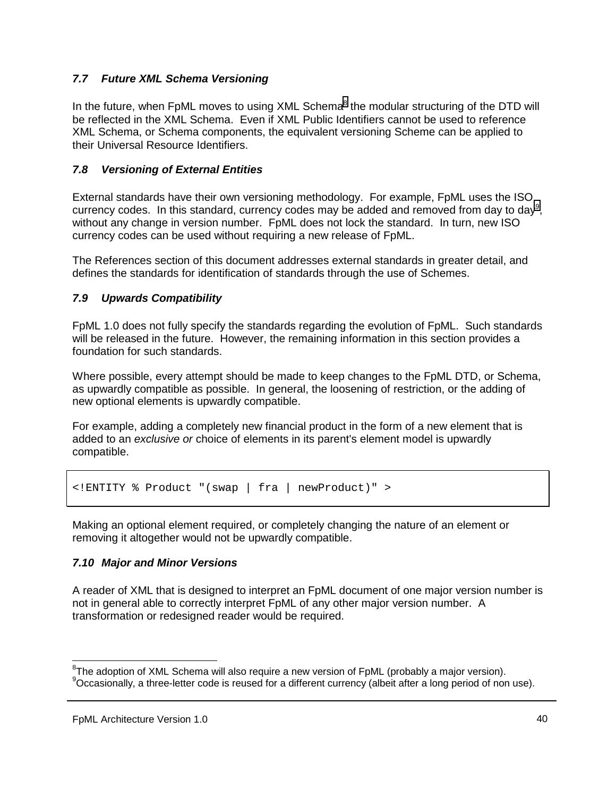### <span id="page-39-0"></span>*7.7 Future XML Schema Versioning*

In the future, when FpML moves to using XML Schema<sup>8</sup> the modular structuring of the DTD will be reflected in the XML Schema. Even if XML Public Identifiers cannot be used to reference XML Schema, or Schema components, the equivalent versioning Scheme can be applied to their Universal Resource Identifiers.

#### *7.8 Versioning of External Entities*

External standards have their own versioning methodology. For example, FpML uses the ISO currency codes. In this standard, currency codes may be added and removed from day to day<sup>9</sup>, without any change in version number. FpML does not lock the standard. In turn, new ISO currency codes can be used without requiring a new release of FpML.

The References section of this document addresses external standards in greater detail, and defines the standards for identification of standards through the use of Schemes.

#### *7.9 Upwards Compatibility*

FpML 1.0 does not fully specify the standards regarding the evolution of FpML. Such standards will be released in the future. However, the remaining information in this section provides a foundation for such standards.

Where possible, every attempt should be made to keep changes to the FpML DTD, or Schema, as upwardly compatible as possible. In general, the loosening of restriction, or the adding of new optional elements is upwardly compatible.

For example, adding a completely new financial product in the form of a new element that is added to an *exclusive or* choice of elements in its parent's element model is upwardly compatible.

<!ENTITY % Product "(swap | fra | newProduct)" >

Making an optional element required, or completely changing the nature of an element or removing it altogether would not be upwardly compatible.

#### *7.10 Major and Minor Versions*

A reader of XML that is designed to interpret an FpML document of one major version number is not in general able to correctly interpret FpML of any other major version number. A transformation or redesigned reader would be required.

 $\overline{a}$ 

 ${}^{8}$ The adoption of XML Schema will also require a new version of FpML (probably a major version).

<sup>&</sup>lt;sup>9</sup>Occasionally, a three-letter code is reused for a different currency (albeit after a long period of non use).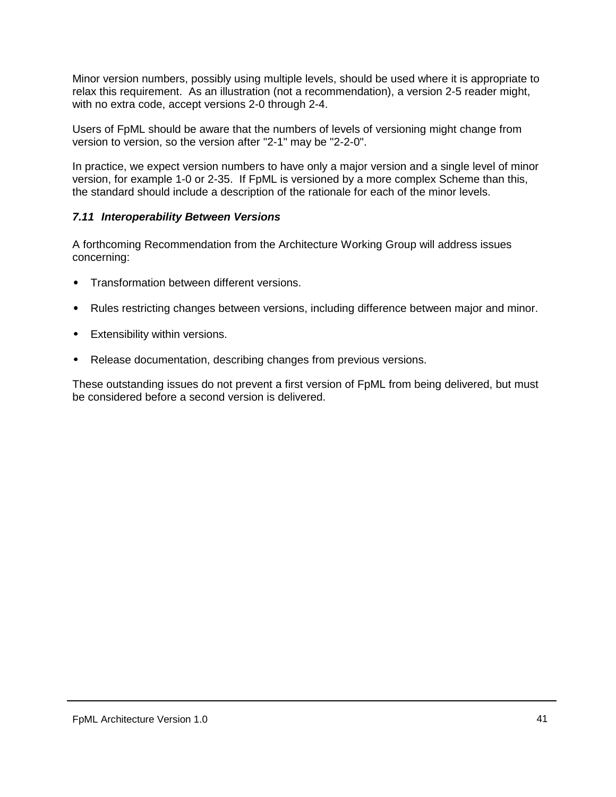<span id="page-40-0"></span>Minor version numbers, possibly using multiple levels, should be used where it is appropriate to relax this requirement. As an illustration (not a recommendation), a version 2-5 reader might, with no extra code, accept versions 2-0 through 2-4.

Users of FpML should be aware that the numbers of levels of versioning might change from version to version, so the version after "2-1" may be "2-2-0".

In practice, we expect version numbers to have only a major version and a single level of minor version, for example 1-0 or 2-35. If FpML is versioned by a more complex Scheme than this, the standard should include a description of the rationale for each of the minor levels.

#### *7.11 Interoperability Between Versions*

A forthcoming Recommendation from the Architecture Working Group will address issues concerning:

- Transformation between different versions.
- Rules restricting changes between versions, including difference between major and minor.
- Extensibility within versions.
- Release documentation, describing changes from previous versions.

These outstanding issues do not prevent a first version of FpML from being delivered, but must be considered before a second version is delivered.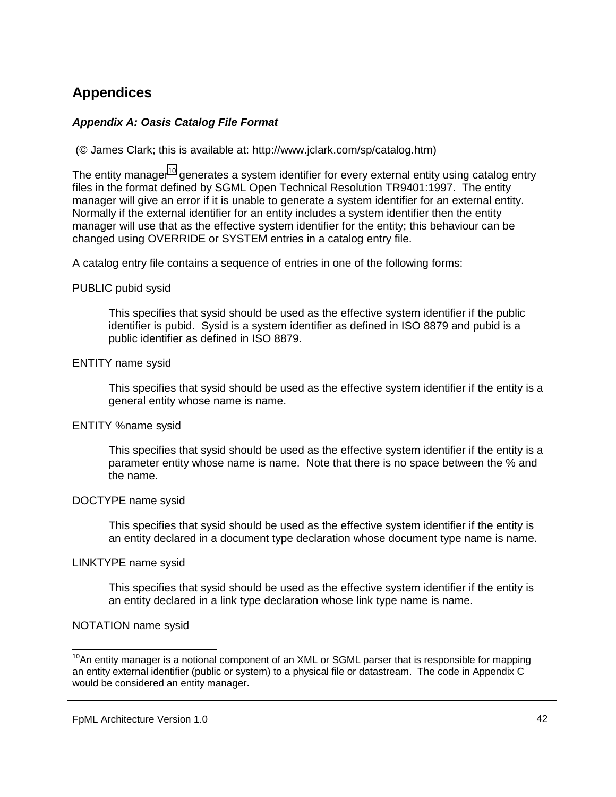# <span id="page-41-0"></span>**Appendices**

#### *Appendix A: Oasis Catalog File Format*

(© James Clark; this is available at: http://www.jclark.com/sp/catalog.htm)

The entity manager<sup>10</sup> generates a system identifier for every external entity using catalog entry files in the format defined by SGML Open Technical Resolution TR9401:1997. The entity manager will give an error if it is unable to generate a system identifier for an external entity. Normally if the external identifier for an entity includes a system identifier then the entity manager will use that as the effective system identifier for the entity; this behaviour can be changed using OVERRIDE or SYSTEM entries in a catalog entry file.

A catalog entry file contains a sequence of entries in one of the following forms:

#### PUBLIC pubid sysid

This specifies that sysid should be used as the effective system identifier if the public identifier is pubid. Sysid is a system identifier as defined in ISO 8879 and pubid is a public identifier as defined in ISO 8879.

#### ENTITY name sysid

This specifies that sysid should be used as the effective system identifier if the entity is a general entity whose name is name.

#### ENTITY %name sysid

This specifies that sysid should be used as the effective system identifier if the entity is a parameter entity whose name is name. Note that there is no space between the % and the name.

#### DOCTYPE name sysid

This specifies that sysid should be used as the effective system identifier if the entity is an entity declared in a document type declaration whose document type name is name.

#### LINKTYPE name sysid

This specifies that sysid should be used as the effective system identifier if the entity is an entity declared in a link type declaration whose link type name is name.

#### NOTATION name sysid

l

 $10$ An entity manager is a notional component of an XML or SGML parser that is responsible for mapping an entity external identifier (public or system) to a physical file or datastream. The code in Appendix C would be considered an entity manager.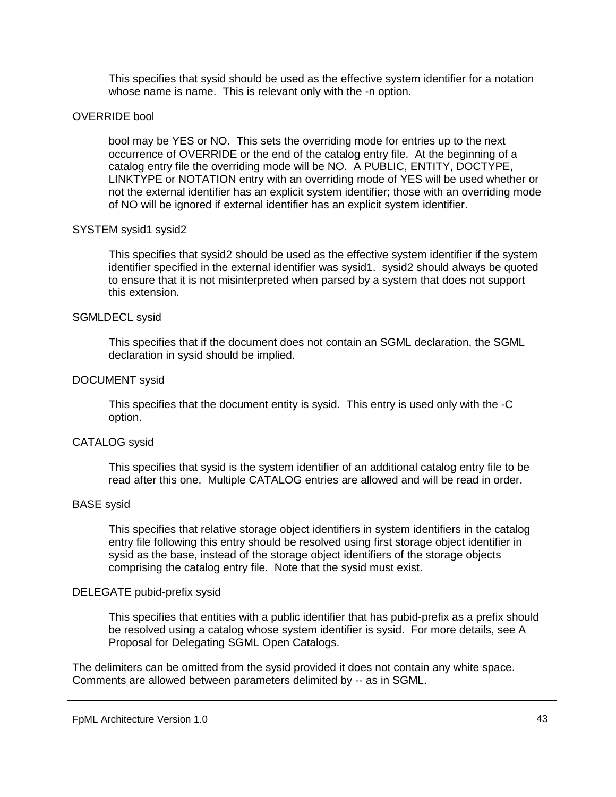This specifies that sysid should be used as the effective system identifier for a notation whose name is name. This is relevant only with the -n option.

#### OVERRIDE bool

bool may be YES or NO. This sets the overriding mode for entries up to the next occurrence of OVERRIDE or the end of the catalog entry file. At the beginning of a catalog entry file the overriding mode will be NO. A PUBLIC, ENTITY, DOCTYPE, LINKTYPE or NOTATION entry with an overriding mode of YES will be used whether or not the external identifier has an explicit system identifier; those with an overriding mode of NO will be ignored if external identifier has an explicit system identifier.

#### SYSTEM sysid1 sysid2

This specifies that sysid2 should be used as the effective system identifier if the system identifier specified in the external identifier was sysid1. sysid2 should always be quoted to ensure that it is not misinterpreted when parsed by a system that does not support this extension.

#### SGMLDECL sysid

This specifies that if the document does not contain an SGML declaration, the SGML declaration in sysid should be implied.

#### DOCUMENT sysid

This specifies that the document entity is sysid. This entry is used only with the -C option.

#### CATALOG sysid

This specifies that sysid is the system identifier of an additional catalog entry file to be read after this one. Multiple CATALOG entries are allowed and will be read in order.

#### BASE sysid

This specifies that relative storage object identifiers in system identifiers in the catalog entry file following this entry should be resolved using first storage object identifier in sysid as the base, instead of the storage object identifiers of the storage objects comprising the catalog entry file. Note that the sysid must exist.

#### DELEGATE pubid-prefix sysid

This specifies that entities with a public identifier that has pubid-prefix as a prefix should be resolved using a catalog whose system identifier is sysid. For more details, see A Proposal for Delegating SGML Open Catalogs.

The delimiters can be omitted from the sysid provided it does not contain any white space. Comments are allowed between parameters delimited by -- as in SGML.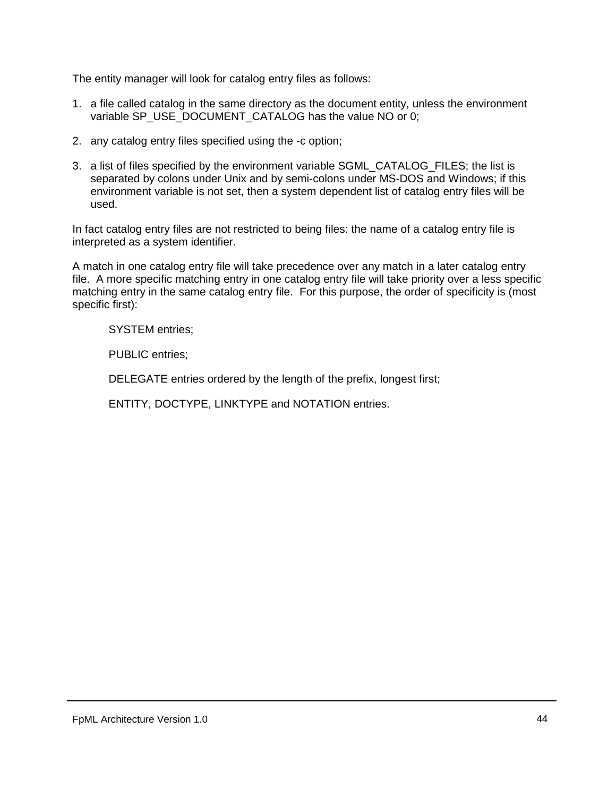The entity manager will look for catalog entry files as follows:

- 1. a file called catalog in the same directory as the document entity, unless the environment variable SP\_USE\_DOCUMENT\_CATALOG has the value NO or 0;
- 2. any catalog entry files specified using the -c option;
- 3. a list of files specified by the environment variable SGML\_CATALOG\_FILES; the list is separated by colons under Unix and by semi-colons under MS-DOS and Windows; if this environment variable is not set, then a system dependent list of catalog entry files will be used.

In fact catalog entry files are not restricted to being files: the name of a catalog entry file is interpreted as a system identifier.

A match in one catalog entry file will take precedence over any match in a later catalog entry file. A more specific matching entry in one catalog entry file will take priority over a less specific matching entry in the same catalog entry file. For this purpose, the order of specificity is (most specific first):

SYSTEM entries;

PUBLIC entries;

DELEGATE entries ordered by the length of the prefix, longest first;

ENTITY, DOCTYPE, LINKTYPE and NOTATION entries.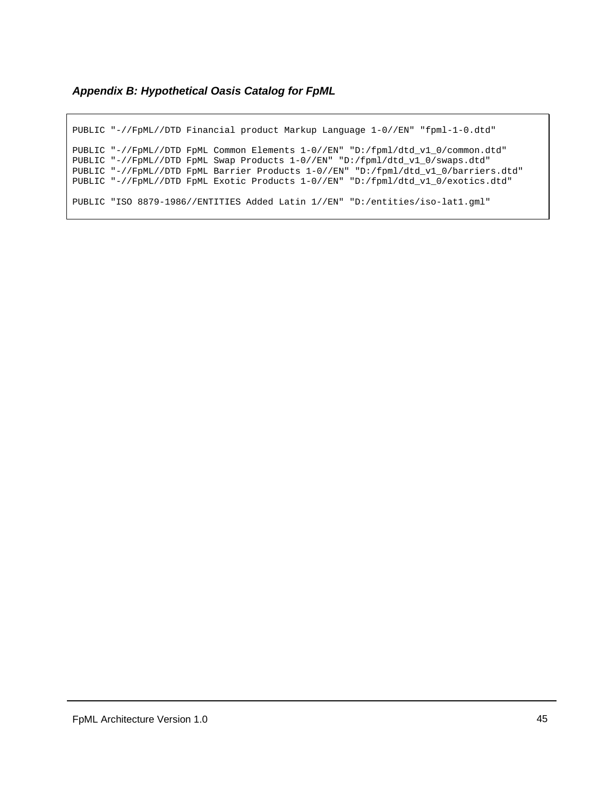#### <span id="page-44-0"></span>*Appendix B: Hypothetical Oasis Catalog for FpML*

PUBLIC "-//FpML//DTD Financial product Markup Language 1-0//EN" "fpml-1-0.dtd" PUBLIC "-//FpML//DTD FpML Common Elements 1-0//EN" "D:/fpml/dtd\_v1\_0/common.dtd" PUBLIC "-//FpML//DTD FpML Swap Products 1-0//EN" "D:/fpml/dtd\_v1\_0/swaps.dtd" PUBLIC "-//FpML//DTD FpML Barrier Products 1-0//EN" "D:/fpml/dtd\_v1\_0/barriers.dtd" PUBLIC "-//FpML//DTD FpML Exotic Products 1-0//EN" "D:/fpml/dtd\_v1\_0/exotics.dtd" PUBLIC "ISO 8879-1986//ENTITIES Added Latin 1//EN" "D:/entities/iso-lat1.gml"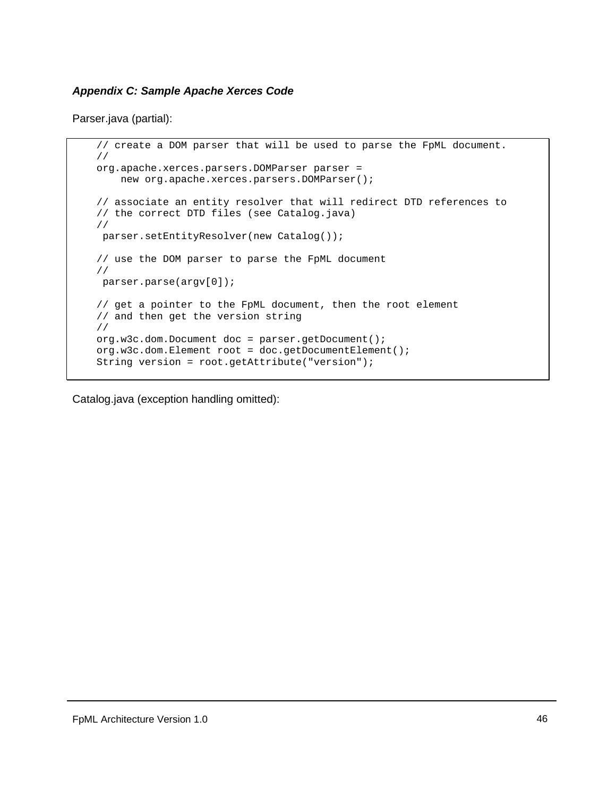#### <span id="page-45-0"></span>*Appendix C: Sample Apache Xerces Code*

Parser.java (partial):

```
// create a DOM parser that will be used to parse the FpML document.
//
org.apache.xerces.parsers.DOMParser parser =
   new org.apache.xerces.parsers.DOMParser();
// associate an entity resolver that will redirect DTD references to
// the correct DTD files (see Catalog.java)
//
parser.setEntityResolver(new Catalog());
// use the DOM parser to parse the FpML document
//
parser.parse(argv[0]);
// get a pointer to the FpML document, then the root element
// and then get the version string
//
org.w3c.dom.Document doc = parser.getDocument();
org.w3c.dom.Element root = doc.getDocumentElement();
String version = root.getAttribute("version");
```
Catalog.java (exception handling omitted):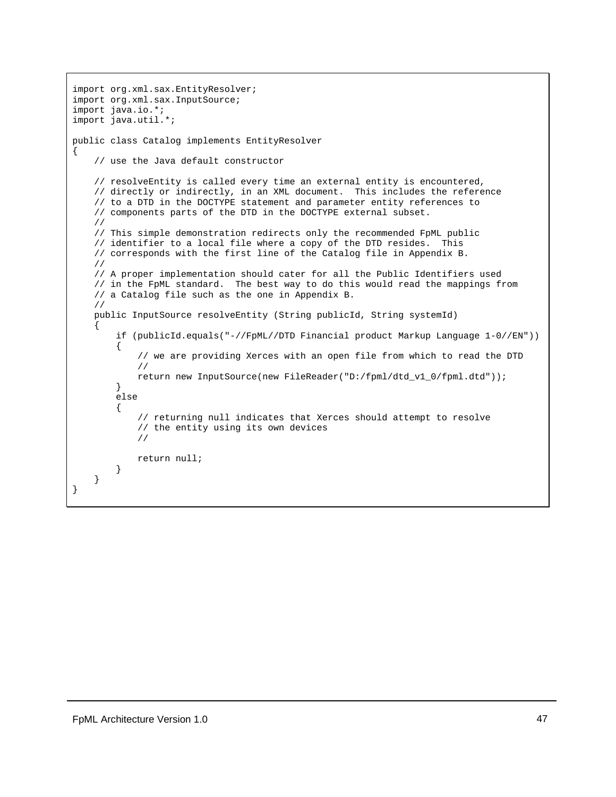```
import org.xml.sax.EntityResolver;
import org.xml.sax.InputSource;
import java.io.*;
import java.util.*;
public class Catalog implements EntityResolver
{
    // use the Java default constructor
    // resolveEntity is called every time an external entity is encountered,
    // directly or indirectly, in an XML document. This includes the reference
    // to a DTD in the DOCTYPE statement and parameter entity references to
    // components parts of the DTD in the DOCTYPE external subset.
   //
    // This simple demonstration redirects only the recommended FpML public
    // identifier to a local file where a copy of the DTD resides. This
    // corresponds with the first line of the Catalog file in Appendix B.
   //
    // A proper implementation should cater for all the Public Identifiers used
    // in the FpML standard. The best way to do this would read the mappings from
    // a Catalog file such as the one in Appendix B.
    //
   public InputSource resolveEntity (String publicId, String systemId)
    {
        if (publicId.equals("-//FpML//DTD Financial product Markup Language 1-0//EN"))
        {
            // we are providing Xerces with an open file from which to read the DTD
            //
            return new InputSource(new FileReader("D:/fpml/dtd_v1_0/fpml.dtd"));
        }
        else
        {
            // returning null indicates that Xerces should attempt to resolve
            // the entity using its own devices
            //
            return null;
        }
    }
}
```